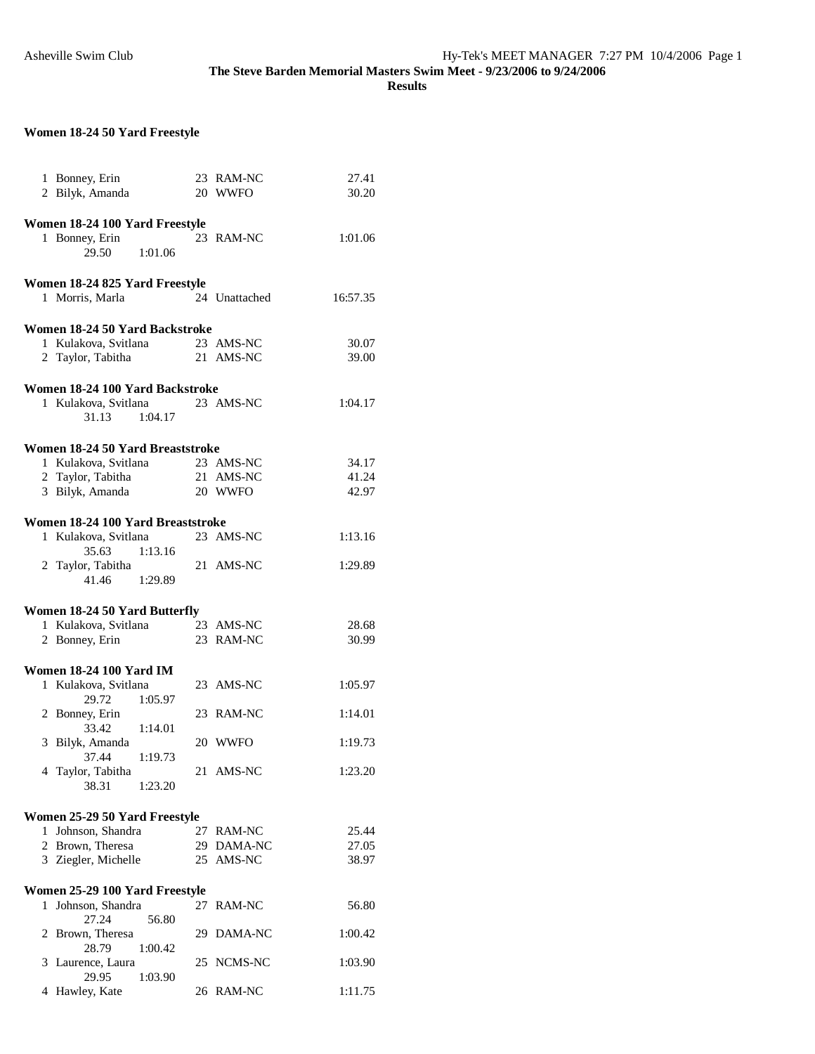**Results** 

## **Women 18-24 50 Yard Freestyle**

|   | 1 Bonney, Erin<br>2 Bilyk, Amanda |         | 23 RAM-NC<br>20 WWFO | 27.41<br>30.20 |
|---|-----------------------------------|---------|----------------------|----------------|
|   |                                   |         |                      |                |
|   | Women 18-24 100 Yard Freestyle    |         |                      |                |
|   | 1 Bonney, Erin                    |         | 23 RAM-NC            | 1:01.06        |
|   | 29.50                             | 1:01.06 |                      |                |
|   |                                   |         |                      |                |
|   | Women 18-24 825 Yard Freestyle    |         |                      |                |
|   | 1 Morris, Marla                   |         | 24 Unattached        | 16:57.35       |
|   |                                   |         |                      |                |
|   | Women 18-24 50 Yard Backstroke    |         |                      |                |
|   | 1 Kulakova, Svitlana 23 AMS-NC    |         |                      | 30.07          |
|   | 2 Taylor, Tabitha                 |         | 21 AMS-NC            | 39.00          |
|   |                                   |         |                      |                |
|   | Women 18-24 100 Yard Backstroke   |         |                      |                |
|   | 1 Kulakova, Svitlana              |         | 23 AMS-NC            | 1:04.17        |
|   | 31.13                             | 1:04.17 |                      |                |
|   |                                   |         |                      |                |
|   | Women 18-24 50 Yard Breaststroke  |         |                      |                |
|   | 1 Kulakova, Svitlana              |         | 23 AMS-NC            | 34.17          |
|   | 2 Taylor, Tabitha                 |         | 21 AMS-NC            | 41.24          |
|   | 3 Bilyk, Amanda                   |         | 20 WWFO              | 42.97          |
|   |                                   |         |                      |                |
|   | Women 18-24 100 Yard Breaststroke |         |                      |                |
|   | 1 Kulakova, Svitlana              |         | 23 AMS-NC            | 1:13.16        |
|   | 35.63                             | 1:13.16 |                      |                |
|   | 2 Taylor, Tabitha                 |         | 21 AMS-NC            | 1:29.89        |
|   | 41.46                             | 1:29.89 |                      |                |
|   |                                   |         |                      |                |
|   | Women 18-24 50 Yard Butterfly     |         |                      |                |
|   | 1 Kulakova, Svitlana              |         | 23 AMS-NC            | 28.68          |
|   | 2 Bonney, Erin                    |         | 23 RAM-NC            | 30.99          |
|   |                                   |         |                      |                |
|   | <b>Women 18-24 100 Yard IM</b>    |         |                      |                |
|   | 1 Kulakova, Svitlana              |         | 23 AMS-NC            | 1:05.97        |
|   | 29.72                             | 1:05.97 |                      |                |
|   |                                   |         |                      |                |
|   | 2 Bonney, Erin                    |         | 23 RAM-NC            | 1:14.01        |
|   | 33.42                             | 1:14.01 |                      |                |
|   | 3 Bilyk, Amanda                   |         | 20 WWFO              | 1:19.73        |
|   | 37.44                             | 1:19.73 |                      |                |
|   | 4 Taylor, Tabitha                 |         | 21 AMS-NC            | 1:23.20        |
|   | 38.31                             | 1:23.20 |                      |                |
|   |                                   |         |                      |                |
|   | Women 25-29 50 Yard Freestyle     |         |                      |                |
|   | 1 Johnson, Shandra                |         | 27 RAM-NC            | 25.44          |
|   | 2 Brown, Theresa                  |         | 29 DAMA-NC           | 27.05          |
|   | 3 Ziegler, Michelle               |         | 25 AMS-NC            | 38.97          |
|   |                                   |         |                      |                |
|   | Women 25-29 100 Yard Freestyle    |         |                      |                |
| 1 | Johnson, Shandra                  |         | 27 RAM-NC            | 56.80          |
|   | 27.24                             | 56.80   |                      |                |
|   | 2 Brown, Theresa                  |         | 29 DAMA-NC           | 1:00.42        |
|   | 28.79                             | 1:00.42 |                      |                |
|   | 3 Laurence, Laura                 |         | 25 NCMS-NC           | 1:03.90        |
|   | 29.95                             | 1:03.90 |                      |                |
|   | 4 Hawley, Kate                    |         | 26 RAM-NC            | 1:11.75        |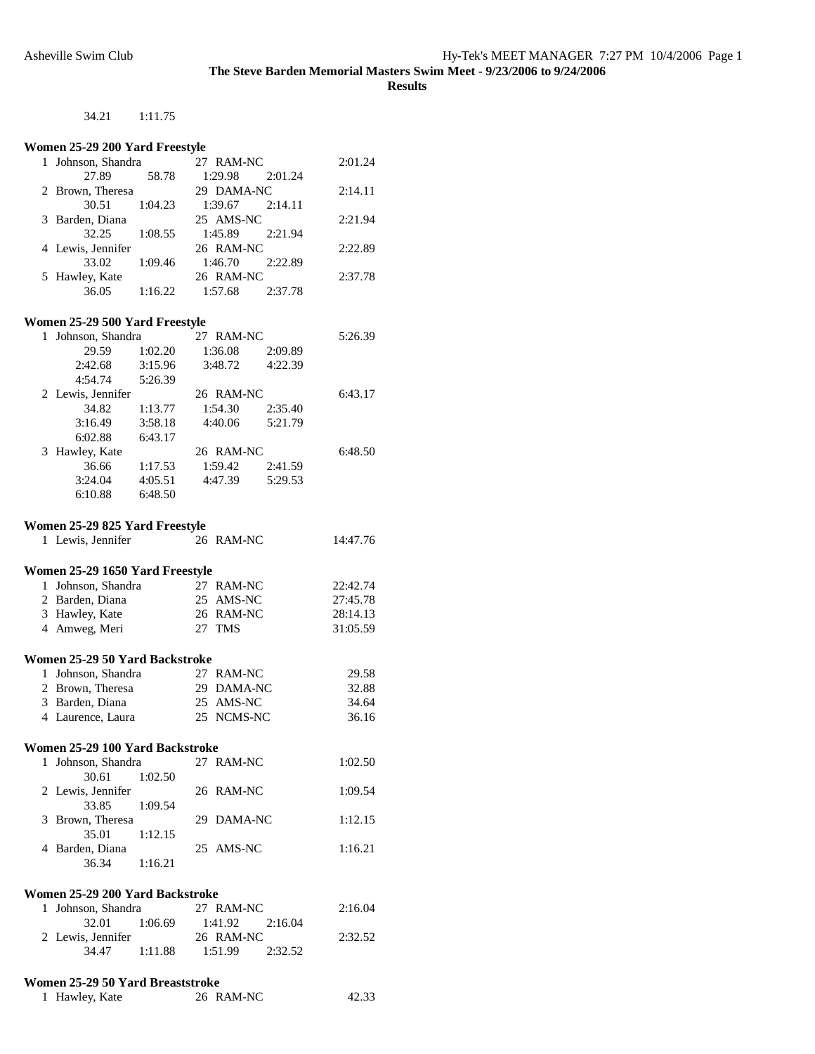**Results** 

#### 34.21 1:11.75

#### **Women 25-29 200 Yard Freestyle**

| Johnson, Shandra  |         | 27 RAM-NC  |         | 2:01.24 |
|-------------------|---------|------------|---------|---------|
| 27.89             | 58.78   | 1:29.98    | 2:01.24 |         |
| 2 Brown, Theresa  |         | 29 DAMA-NC |         | 2:14.11 |
| 30.51             | 1:04.23 | 1:39.67    | 2:14.11 |         |
| 3 Barden, Diana   |         | 25 AMS-NC  |         | 2:21.94 |
| 32.25             | 1:08.55 | 1:45.89    | 2:21.94 |         |
| 4 Lewis, Jennifer |         | 26 RAM-NC  |         | 2:22.89 |
| 33.02             | 1:09.46 | 1:46.70    | 2:22.89 |         |
| 5 Hawley, Kate    |         | 26 RAM-NC  |         | 2:37.78 |
| 36.05             | 1:16.22 | 1:57.68    | 2:37.78 |         |
|                   |         |            |         |         |
|                   |         |            |         |         |

### **Women 25-29 500 Yard Freestyle**

| 1 | Johnson, Shandra  |         | 27 RAM-NC |         | 5:26.39 |
|---|-------------------|---------|-----------|---------|---------|
|   | 29.59             | 1:02.20 | 1:36.08   | 2:09.89 |         |
|   | 2:42.68           | 3:15.96 | 3:48.72   | 4:22.39 |         |
|   | 4:54.74           | 5:26.39 |           |         |         |
|   | 2 Lewis, Jennifer |         | 26 RAM-NC |         | 6:43.17 |
|   | 34.82             | 1:13.77 | 1:54.30   | 2:35.40 |         |
|   | 3:16.49           | 3:58.18 | 4:40.06   | 5:21.79 |         |
|   | 6:02.88           | 6:43.17 |           |         |         |
|   | 3 Hawley, Kate    |         | 26 RAM-NC |         | 6:48.50 |
|   | 36.66             | 1:17.53 | 1:59.42   | 2:41.59 |         |
|   | 3:24.04           | 4:05.51 | 4:47.39   | 5:29.53 |         |
|   | 6:10.88           | 6:48.50 |           |         |         |
|   |                   |         |           |         |         |

#### **Women 25-29 825 Yard Freestyle**

| Women 25-29 825 Yard Freestyle  |           |          |
|---------------------------------|-----------|----------|
| 1 Lewis, Jennifer               | 26 RAM-NC | 14:47.76 |
| Women 25-29 1650 Yard Freestyle |           |          |
| 1 Johnson, Shandra              | 27 RAM-NC | 22:42.74 |
| 2 Barden, Diana                 | 25 AMS-NC | 27:45.78 |
| 3 Hawley, Kate                  | 26 RAM-NC | 28:14.13 |
| 4 Amweg, Meri                   | 27 TMS    | 31:05.59 |
|                                 |           |          |

#### **Women 25-29 50 Yard Backstroke**

| 1 Johnson, Shandra | 29.58                                              |
|--------------------|----------------------------------------------------|
| 2 Brown, Theresa   | 32.88                                              |
| 3 Barden, Diana    | 34.64                                              |
| 4 Laurence, Laura  | 36.16                                              |
|                    | 27 RAM-NC<br>29 DAMA-NC<br>25 AMS-NC<br>25 NCMS-NC |

#### **Women 25-29 100 Yard Backstroke**

| 1 Johnson, Shandra | 27 RAM-NC  | 1:02.50 |
|--------------------|------------|---------|
| 1:02.50<br>30.61   |            |         |
| 2 Lewis, Jennifer  | 26 RAM-NC  | 1:09.54 |
| 33.85<br>1:09.54   |            |         |
| 3 Brown, Theresa   | 29 DAMA-NC | 1:12.15 |
| 1:12.15<br>35.01   |            |         |
| 4 Barden, Diana    | 25 AMS-NC  | 1:16.21 |
| 3634<br>1.1621     |            |         |

### **Women 25-29 200 Yard Backstroke**

| 1 Johnson, Shandra |         | 27 RAM-NC |         | 2:16.04 |
|--------------------|---------|-----------|---------|---------|
| 32.01              | 1:06.69 | 1:41.92   | 2:16.04 |         |
| 2 Lewis, Jennifer  |         | 26 RAM-NC |         | 2:32.52 |
| 34.47              | 1:11.88 | 1:51.99   | 2:32.52 |         |

#### **Women 25-29 50 Yard Breaststroke**

| 1 Hawley, Kate | 26 RAM-NC | 42.33 |
|----------------|-----------|-------|
|----------------|-----------|-------|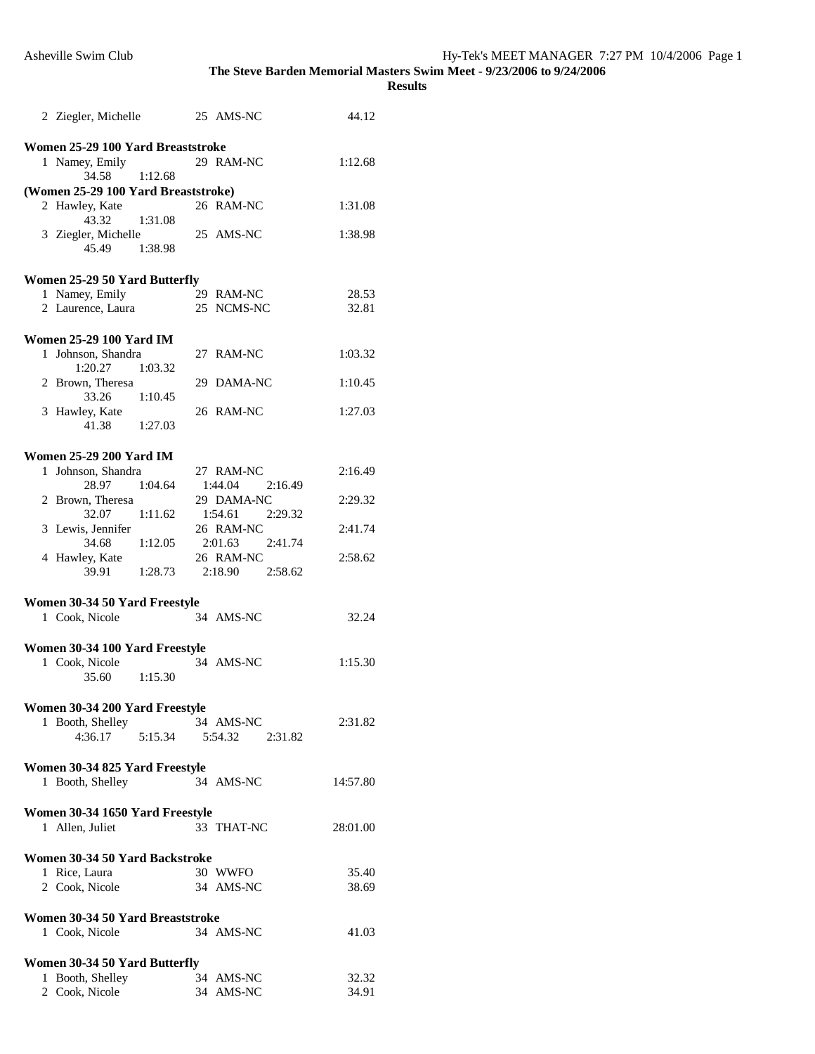|   | 1 Namey, Emily<br>34.58<br>(Women 25-29 100 Yard Breaststroke) | 1:12.68 | 29 RAM-NC                       | 1:12.68  |
|---|----------------------------------------------------------------|---------|---------------------------------|----------|
|   | 2 Hawley, Kate<br>43.32                                        | 1:31.08 | 26 RAM-NC                       | 1:31.08  |
|   | 3 Ziegler, Michelle<br>45.49                                   | 1:38.98 | 25 AMS-NC                       | 1:38.98  |
|   | Women 25-29 50 Yard Butterfly                                  |         |                                 |          |
|   | 1 Namey, Emily                                                 |         | 29 RAM-NC                       | 28.53    |
|   | 2 Laurence, Laura                                              |         | 25 NCMS-NC                      | 32.81    |
|   | <b>Women 25-29 100 Yard IM</b>                                 |         |                                 |          |
|   | 1 Johnson, Shandra                                             |         | 27 RAM-NC                       | 1:03.32  |
|   | 1:20.27                                                        | 1:03.32 |                                 |          |
|   | 2 Brown, Theresa                                               |         | 29 DAMA-NC                      | 1:10.45  |
|   | 33.26                                                          | 1:10.45 |                                 |          |
|   | 3 Hawley, Kate                                                 |         | 26 RAM-NC                       | 1:27.03  |
|   | 41.38                                                          | 1:27.03 |                                 |          |
|   |                                                                |         |                                 |          |
|   | <b>Women 25-29 200 Yard IM</b>                                 |         |                                 |          |
|   | 1 Johnson, Shandra<br>28.97                                    | 1:04.64 | 27 RAM-NC<br>1:44.04<br>2:16.49 | 2:16.49  |
|   | 2 Brown, Theresa                                               |         | 29 DAMA-NC                      | 2:29.32  |
|   | 32.07                                                          | 1:11.62 | 1:54.61 2:29.32                 |          |
|   | 3 Lewis, Jennifer                                              |         | 26 RAM-NC                       | 2:41.74  |
|   | 34.68                                                          | 1:12.05 | 2:01.63<br>2:41.74              |          |
|   | 4 Hawley, Kate                                                 |         | 26 RAM-NC                       | 2:58.62  |
|   | 39.91                                                          | 1:28.73 | 2:18.90<br>2:58.62              |          |
|   |                                                                |         |                                 |          |
|   | Women 30-34 50 Yard Freestyle                                  |         |                                 |          |
|   | 1 Cook, Nicole                                                 |         | 34 AMS-NC                       | 32.24    |
|   |                                                                |         |                                 |          |
|   |                                                                |         |                                 |          |
|   | Women 30-34 100 Yard Freestyle                                 |         |                                 |          |
|   | 1 Cook, Nicole<br>35.60                                        | 1:15.30 | 34 AMS-NC                       | 1:15.30  |
|   |                                                                |         |                                 |          |
|   | Women 30-34 200 Yard Freestyle                                 |         |                                 |          |
| 1 | Booth, Shelley                                                 |         | 34 AMS-NC                       | 2:31.82  |
|   | 4:36.17                                                        | 5:15.34 | 5:54.32<br>2:31.82              |          |
|   |                                                                |         |                                 |          |
|   | Women 30-34 825 Yard Freestyle                                 |         |                                 |          |
|   | 1 Booth, Shelley                                               |         | 34 AMS-NC                       | 14:57.80 |
|   |                                                                |         |                                 |          |
|   | Women 30-34 1650 Yard Freestyle<br>1 Allen, Juliet             |         | 33 THAT-NC                      | 28:01.00 |
|   |                                                                |         |                                 |          |
|   | Women 30-34 50 Yard Backstroke                                 |         |                                 |          |
|   | 1 Rice, Laura                                                  |         | 30 WWFO                         | 35.40    |
|   | 2 Cook, Nicole                                                 |         | 34 AMS-NC                       | 38.69    |
|   |                                                                |         |                                 |          |
|   | Women 30-34 50 Yard Breaststroke                               |         |                                 |          |
|   | 1 Cook, Nicole                                                 |         | 34 AMS-NC                       | 41.03    |
|   | Women 30-34 50 Yard Butterfly                                  |         |                                 |          |
|   | 1 Booth, Shelley                                               |         | 34 AMS-NC                       | 32.32    |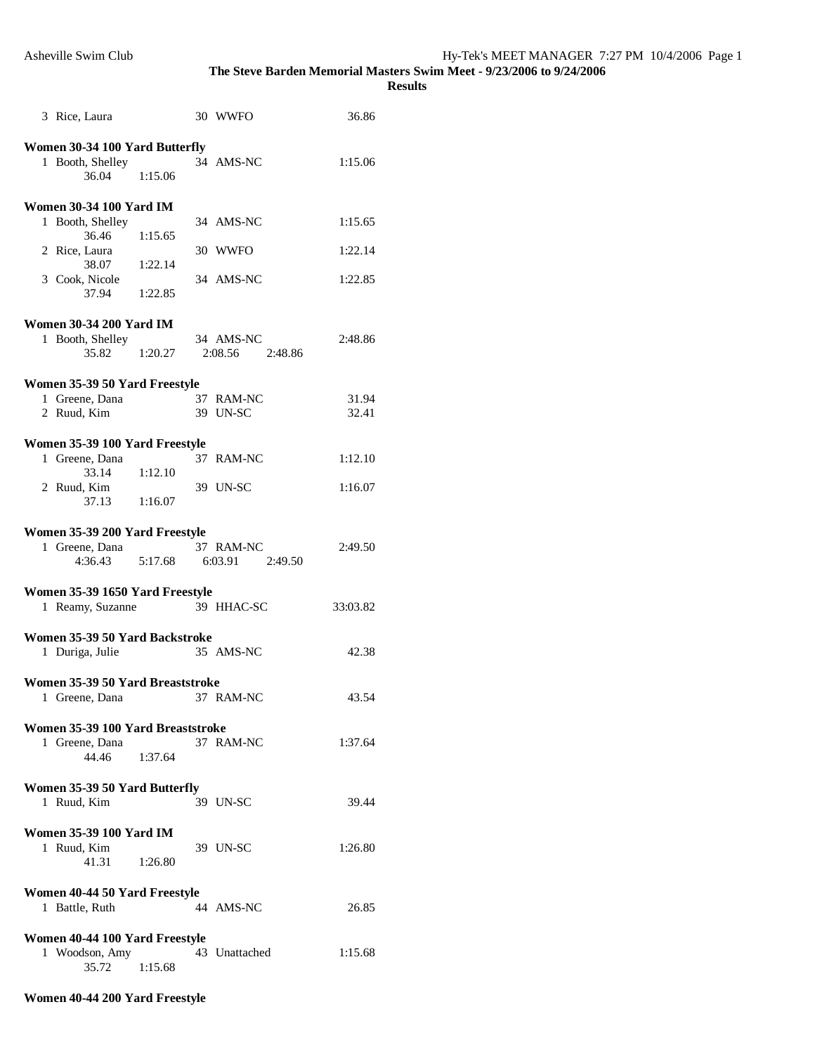**Results** 

| 3 Rice, Laura                     |         | 30 WWFO       | 36.86    |
|-----------------------------------|---------|---------------|----------|
|                                   |         |               |          |
| Women 30-34 100 Yard Butterfly    |         | 34 AMS-NC     | 1:15.06  |
| 1 Booth, Shelley                  |         |               |          |
| 36.04                             | 1:15.06 |               |          |
|                                   |         |               |          |
| <b>Women 30-34 100 Yard IM</b>    |         |               |          |
| 1 Booth, Shelley                  |         | 34 AMS-NC     | 1:15.65  |
| 36.46                             | 1:15.65 |               |          |
| 2 Rice, Laura                     |         | 30 WWFO       | 1:22.14  |
| 38.07                             | 1:22.14 |               |          |
| 3 Cook, Nicole                    |         | 34 AMS-NC     | 1:22.85  |
| 37.94                             | 1:22.85 |               |          |
|                                   |         |               |          |
|                                   |         |               |          |
| <b>Women 30-34 200 Yard IM</b>    |         |               |          |
| 1 Booth, Shelley                  |         | 34 AMS-NC     | 2:48.86  |
| 35.82                             | 1:20.27 | 2:08.56       | 2:48.86  |
|                                   |         |               |          |
| Women 35-39 50 Yard Freestyle     |         |               |          |
| 1 Greene, Dana                    |         | 37 RAM-NC     | 31.94    |
|                                   |         |               |          |
| 2 Ruud. Kim                       |         | 39 UN-SC      | 32.41    |
|                                   |         |               |          |
| Women 35-39 100 Yard Freestyle    |         |               |          |
| 1 Greene, Dana                    |         | 37 RAM-NC     | 1:12.10  |
| 33.14                             | 1:12.10 |               |          |
| 2 Ruud, Kim                       |         | 39 UN-SC      | 1:16.07  |
| 37.13                             | 1:16.07 |               |          |
|                                   |         |               |          |
|                                   |         |               |          |
| Women 35-39 200 Yard Freestyle    |         |               |          |
|                                   |         |               |          |
| 1 Greene, Dana                    |         | 37 RAM-NC     | 2:49.50  |
| 4:36.43                           | 5:17.68 | 6:03.91       | 2:49.50  |
|                                   |         |               |          |
|                                   |         |               |          |
| Women 35-39 1650 Yard Freestyle   |         |               |          |
| 1 Reamy, Suzanne                  |         | 39 HHAC-SC    | 33:03.82 |
|                                   |         |               |          |
| Women 35-39 50 Yard Backstroke    |         |               |          |
| 1 Duriga, Julie                   |         | 35 AMS-NC     | 42.38    |
|                                   |         |               |          |
|                                   |         |               |          |
| Women 35-39 50 Yard Breaststroke  |         |               |          |
| 1 Greene, Dana                    |         | 37 RAM-NC     | 43.54    |
|                                   |         |               |          |
| Women 35-39 100 Yard Breaststroke |         |               |          |
| 1 Greene, Dana                    |         | 37 RAM-NC     | 1:37.64  |
| 44.46                             | 1:37.64 |               |          |
|                                   |         |               |          |
|                                   |         |               |          |
| Women 35-39 50 Yard Butterfly     |         |               |          |
| 1 Ruud, Kim                       |         | 39 UN-SC      | 39.44    |
|                                   |         |               |          |
| <b>Women 35-39 100 Yard IM</b>    |         |               |          |
| 1 Ruud, Kim                       |         | 39 UN-SC      | 1:26.80  |
| 41.31                             | 1:26.80 |               |          |
|                                   |         |               |          |
|                                   |         |               |          |
| Women 40-44 50 Yard Freestyle     |         |               |          |
| 1 Battle, Ruth                    |         | 44 AMS-NC     | 26.85    |
|                                   |         |               |          |
| Women 40-44 100 Yard Freestyle    |         |               |          |
| 1 Woodson, Amy                    |         | 43 Unattached | 1:15.68  |
| 35.72                             | 1:15.68 |               |          |

## **Women 40-44 200 Yard Freestyle**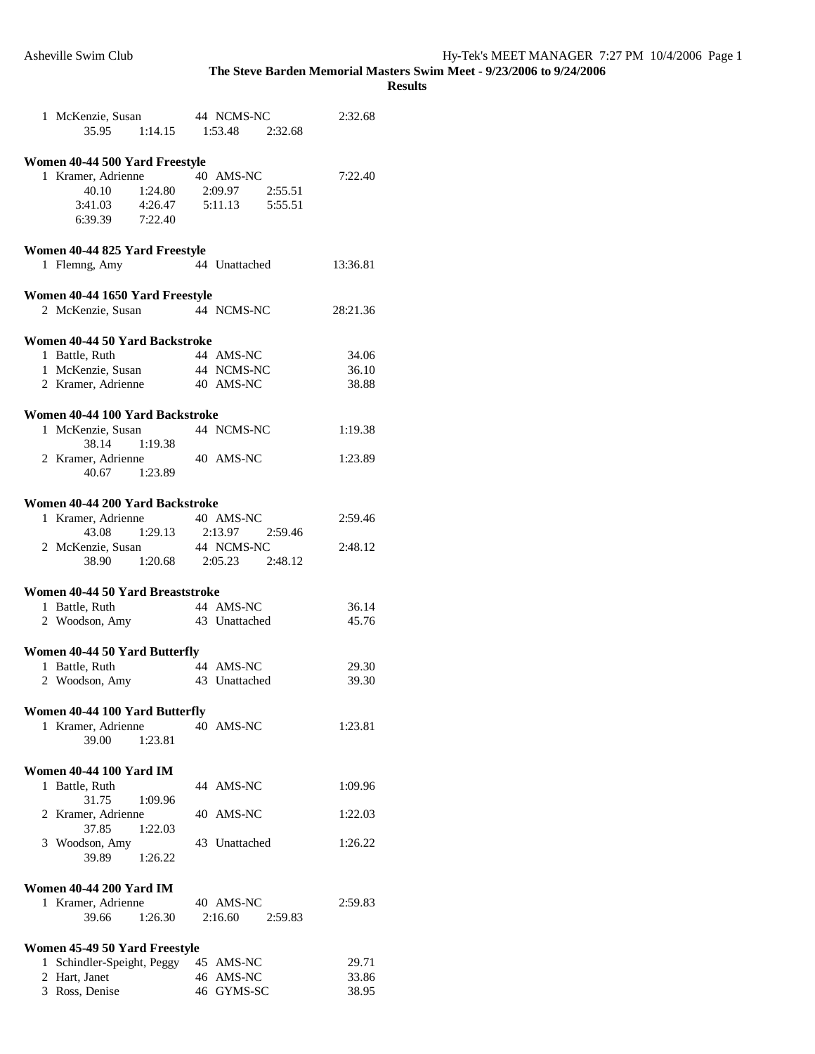|   | 1 McKenzie, Susan                                     | 44 NCMS-NC                    | 2:32.68  |
|---|-------------------------------------------------------|-------------------------------|----------|
|   | 35.95                                                 | 1:14.15 1:53.48 2:32.68       |          |
|   |                                                       |                               |          |
|   | Women 40-44 500 Yard Freestyle                        |                               |          |
|   | 1 Kramer, Adrienne 40 AMS-NC<br>40.10 1:24.80 2:09.97 |                               | 7:22.40  |
|   | 40.10 1:24.80                                         | 2:09.97 2:55.51               |          |
|   | $3:41.03$ $4:26.47$                                   | 5:11.13    5:55.51            |          |
|   | 6:39.39 7:22.40                                       |                               |          |
|   |                                                       |                               |          |
|   | Women 40-44 825 Yard Freestyle                        |                               |          |
|   | 1 Flemng, Amy                                         | 44 Unattached                 | 13:36.81 |
|   |                                                       |                               |          |
|   | Women 40-44 1650 Yard Freestyle                       |                               |          |
|   | 2 McKenzie, Susan                                     | 44 NCMS-NC                    | 28:21.36 |
|   |                                                       |                               |          |
|   | Women 40-44 50 Yard Backstroke                        |                               |          |
|   | 1 Battle, Ruth                                        | 44 AMS-NC                     | 34.06    |
|   | 1 McKenzie, Susan                                     | 44 NCMS-NC                    | 36.10    |
|   | 2 Kramer, Adrienne                                    | 40 AMS-NC                     | 38.88    |
|   |                                                       |                               |          |
|   | Women 40-44 100 Yard Backstroke                       |                               |          |
|   | 1 McKenzie, Susan                                     | 44 NCMS-NC                    | 1:19.38  |
|   | 38.14 1:19.38                                         |                               |          |
|   | 2 Kramer, Adrienne                                    | 40 AMS-NC                     | 1:23.89  |
|   | 40.67 1:23.89                                         |                               |          |
|   |                                                       |                               |          |
|   | Women 40-44 200 Yard Backstroke                       |                               |          |
|   |                                                       | 40 AMS-NC                     |          |
|   | 1 Kramer, Adrienne                                    | 43.08 1:29.13 2:13.97 2:59.46 | 2:59.46  |
|   |                                                       | 44 NCMS-NC                    | 2:48.12  |
|   | 2 McKenzie, Susan                                     |                               |          |
|   |                                                       | 38.90 1:20.68 2:05.23 2:48.12 |          |
|   | Women 40-44 50 Yard Breaststroke                      |                               |          |
|   | 1 Battle, Ruth                                        | 44 AMS-NC                     | 36.14    |
|   | 2 Woodson, Amy                                        | 43 Unattached                 | 45.76    |
|   |                                                       |                               |          |
|   |                                                       |                               |          |
|   | Women 40-44 50 Yard Butterfly<br>1 Battle, Ruth       | 44 AMS-NC                     | 29.30    |
|   |                                                       | 43 Unattached                 | 39.30    |
|   | 2 Woodson, Amy                                        |                               |          |
|   |                                                       |                               |          |
|   | Women 40-44 100 Yard Butterfly                        |                               |          |
|   | 1 Kramer, Adrienne                                    | 40 AMS-NC                     | 1:23.81  |
|   | 39.00<br>1:23.81                                      |                               |          |
|   |                                                       |                               |          |
|   | <b>Women 40-44 100 Yard IM</b>                        |                               |          |
| 1 | Battle, Ruth                                          | 44 AMS-NC                     | 1:09.96  |
|   | 31.75<br>1:09.96                                      |                               |          |
|   | 2 Kramer, Adrienne                                    | 40 AMS-NC                     | 1:22.03  |
|   | 37.85<br>1:22.03                                      |                               |          |
|   | 3 Woodson, Amy                                        | 43 Unattached                 | 1:26.22  |
|   | 39.89<br>1:26.22                                      |                               |          |
|   |                                                       |                               |          |
|   | <b>Women 40-44 200 Yard IM</b>                        |                               |          |
|   | 1 Kramer, Adrienne                                    | 40 AMS-NC                     | 2:59.83  |
|   | 1:26.30<br>39.66                                      | 2:16.60<br>2:59.83            |          |
|   |                                                       |                               |          |
|   | Women 45-49 50 Yard Freestyle                         |                               |          |
|   | 1 Schindler-Speight, Peggy                            | 45 AMS-NC                     | 29.71    |
|   | 2 Hart, Janet                                         | 46 AMS-NC                     | 33.86    |
|   | 3 Ross, Denise                                        | 46 GYMS-SC                    | 38.95    |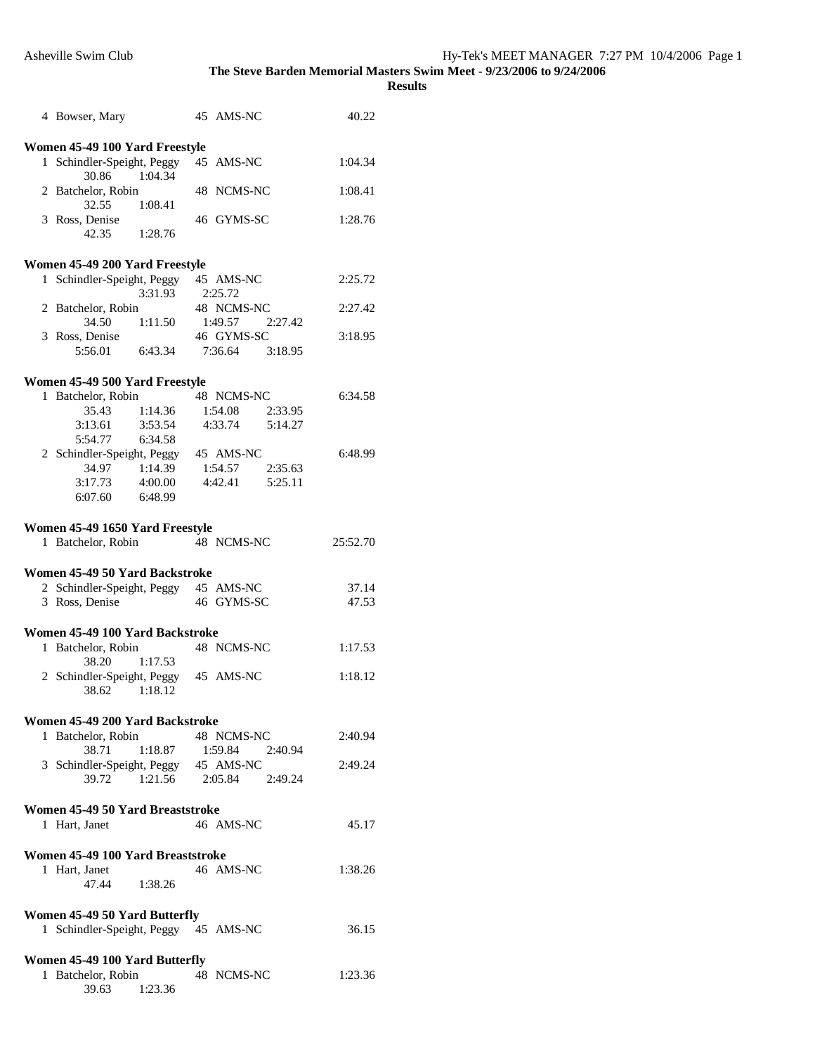|   | 4 Bowser, Mary                                       |         | 45 AMS-NC               |         | 40.22    |
|---|------------------------------------------------------|---------|-------------------------|---------|----------|
|   |                                                      |         |                         |         |          |
|   | Women 45-49 100 Yard Freestyle                       |         |                         |         |          |
| 1 | Schindler-Speight, Peggy                             |         | 45 AMS-NC               |         | 1:04.34  |
|   | 30.86                                                | 1:04.34 |                         |         |          |
|   | 2 Batchelor, Robin                                   |         | 48 NCMS-NC              |         | 1:08.41  |
|   | 32.55                                                | 1:08.41 |                         |         |          |
|   | 3 Ross, Denise                                       |         | 46 GYMS-SC              |         | 1:28.76  |
|   | 42.35                                                | 1:28.76 |                         |         |          |
|   |                                                      |         |                         |         |          |
|   | Women 45-49 200 Yard Freestyle                       |         |                         |         |          |
|   | 1 Schindler-Speight, Peggy                           |         | 45 AMS-NC               |         | 2:25.72  |
|   |                                                      | 3:31.93 | 2:25.72                 |         |          |
|   | 2 Batchelor, Robin                                   |         | 48 NCMS-NC              |         | 2:27.42  |
|   | 34.50                                                | 1:11.50 | 1:49.57                 | 2:27.42 |          |
|   | 3 Ross, Denise                                       |         | 46 GYMS-SC              |         | 3:18.95  |
|   | 5:56.01 6:43.34                                      |         | 7:36.64 3:18.95         |         |          |
|   |                                                      |         |                         |         |          |
|   | Women 45-49 500 Yard Freestyle                       |         |                         |         |          |
|   | 1 Batchelor, Robin                                   |         | 48 NCMS-NC              |         | 6:34.58  |
|   | 35.43                                                | 1:14.36 | 1:54.08 2:33.95         |         |          |
|   | 3:13.61                                              | 3:53.54 | 4:33.74 5:14.27         |         |          |
|   | 5:54.77                                              | 6:34.58 |                         |         |          |
|   | 2 Schindler-Speight, Peggy 45 AMS-NC                 |         |                         |         | 6:48.99  |
|   | 34.97 1:14.39 1:54.57 2:35.63                        |         |                         |         |          |
|   | $3:17.73$ $4:00.00$                                  |         | 4:42.41   5:25.11       |         |          |
|   | 6:07.60 6:48.99                                      |         |                         |         |          |
|   |                                                      |         |                         |         |          |
|   |                                                      |         |                         |         |          |
|   | Women 45-49 1650 Yard Freestyle                      |         |                         |         |          |
|   | 1 Batchelor, Robin                                   |         | 48 NCMS-NC              |         | 25:52.70 |
|   |                                                      |         |                         |         |          |
|   |                                                      |         |                         |         |          |
|   | Women 45-49 50 Yard Backstroke                       |         |                         |         |          |
|   | 2 Schindler-Speight, Peggy 45 AMS-NC                 |         |                         |         | 37.14    |
|   | 3 Ross, Denise                                       |         | 46 GYMS-SC              |         | 47.53    |
|   |                                                      |         |                         |         |          |
|   | Women 45-49 100 Yard Backstroke                      |         |                         |         |          |
|   |                                                      |         | 48 NCMS-NC              |         | 1:17.53  |
|   | 1 Batchelor, Robin<br>38.20                          | 1:17.53 |                         |         |          |
|   |                                                      |         | 45 AMS-NC               |         | 1:18.12  |
|   | 2 Schindler-Speight, Peggy<br>38.62 1:18.12          |         |                         |         |          |
|   |                                                      |         |                         |         |          |
|   |                                                      |         |                         |         |          |
|   | Women 45-49 200 Yard Backstroke                      |         |                         |         |          |
|   | 1 Batchelor, Robin                                   |         | 48 NCMS-NC              |         | 2:40.94  |
|   | 38.71                                                | 1:18.87 | 1:59.84                 | 2:40.94 |          |
|   | 3 Schindler-Speight, Peggy 45 AMS-NC                 |         |                         |         | 2:49.24  |
|   | 39.72                                                |         | 1:21.56 2:05.84 2:49.24 |         |          |
|   |                                                      |         |                         |         |          |
|   | Women 45-49 50 Yard Breaststroke                     |         |                         |         |          |
|   | 1 Hart, Janet                                        |         | 46 AMS-NC               |         | 45.17    |
|   |                                                      |         |                         |         |          |
|   | Women 45-49 100 Yard Breaststroke                    |         |                         |         |          |
|   | 1 Hart, Janet                                        |         | 46 AMS-NC               |         | 1:38.26  |
|   | 47.44 1:38.26                                        |         |                         |         |          |
|   |                                                      |         |                         |         |          |
|   | <b>Women 45-49 50 Yard Butterfly</b>                 |         |                         |         |          |
|   | 1 Schindler-Speight, Peggy 45 AMS-NC                 |         |                         |         | 36.15    |
|   |                                                      |         |                         |         |          |
|   |                                                      |         |                         |         |          |
|   | Women 45-49 100 Yard Butterfly<br>1 Batchelor, Robin |         | 48 NCMS-NC              |         | 1:23.36  |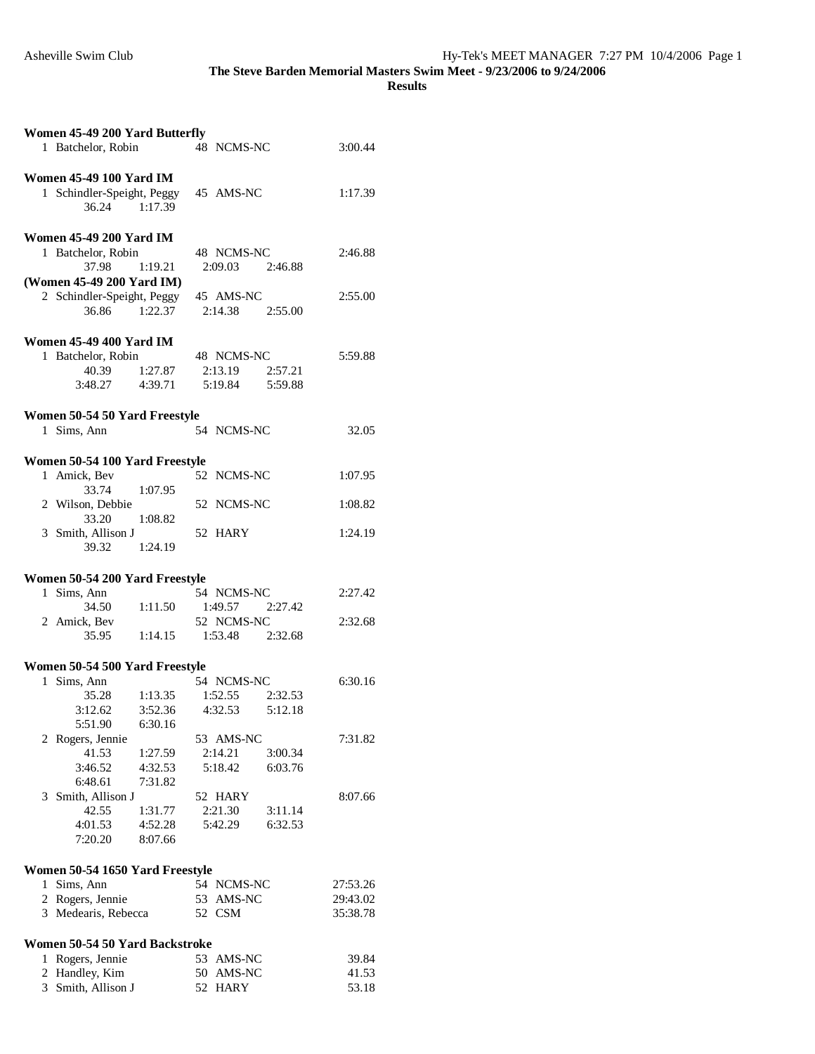| Women 45-49 200 Yard Butterfly |                                              |                                    |         |                        |         |                |
|--------------------------------|----------------------------------------------|------------------------------------|---------|------------------------|---------|----------------|
|                                | 1 Batchelor, Robin                           |                                    |         | 48 NCMS-NC             |         | 3:00.44        |
|                                |                                              |                                    |         |                        |         |                |
|                                | <b>Women 45-49 100 Yard IM</b>               |                                    |         |                        |         |                |
|                                | 1 Schindler-Speight, Peggy<br>36.24 1:17.39  |                                    |         | 45 AMS-NC              |         | 1:17.39        |
|                                |                                              |                                    |         |                        |         |                |
|                                | <b>Women 45-49 200 Yard IM</b>               |                                    |         |                        |         |                |
|                                | 1 Batchelor, Robin                           |                                    |         | 48 NCMS-NC             |         | 2:46.88        |
|                                | 37.98                                        | 1:19.21                            |         | 2:09.03 2:46.88        |         |                |
|                                | (Women 45-49 200 Yard IM)                    |                                    |         |                        |         |                |
|                                | 2 Schindler-Speight, Peggy                   |                                    |         | 45 AMS-NC              |         | 2:55.00        |
|                                | 36.86                                        | 1:22.37                            |         | 2:14.38 2:55.00        |         |                |
|                                |                                              |                                    |         |                        |         |                |
|                                | <b>Women 45-49 400 Yard IM</b>               |                                    |         |                        |         |                |
|                                | 1 Batchelor, Robin                           |                                    |         | 48 NCMS-NC             |         | 5:59.88        |
|                                | 40.39                                        | 1:27.87                            |         | 2:13.19                | 2:57.21 |                |
|                                | 3:48.27                                      | 4:39.71                            |         | 5:19.84                | 5:59.88 |                |
|                                |                                              |                                    |         |                        |         |                |
|                                | Women 50-54 50 Yard Freestyle<br>1 Sims, Ann |                                    |         | 54 NCMS-NC             |         | 32.05          |
|                                |                                              |                                    |         |                        |         |                |
|                                | Women 50-54 100 Yard Freestyle               |                                    |         |                        |         |                |
|                                | 1 Amick, Bev                                 |                                    |         | 52 NCMS-NC             |         | 1:07.95        |
|                                | 33.74                                        | 1:07.95                            |         |                        |         |                |
|                                | 2 Wilson, Debbie                             |                                    |         | 52 NCMS-NC             |         | 1:08.82        |
|                                | 33.20                                        | 1:08.82                            |         |                        |         |                |
|                                | 3 Smith, Allison J                           |                                    |         | 52 HARY                |         | 1:24.19        |
|                                | 39.32                                        | 1:24.19                            |         |                        |         |                |
|                                |                                              |                                    |         |                        |         |                |
|                                | Women 50-54 200 Yard Freestyle               |                                    |         |                        |         |                |
|                                |                                              |                                    |         |                        |         |                |
|                                | 1 Sims, Ann                                  |                                    |         | 54 NCMS-NC             |         | 2:27.42        |
|                                | 34.50                                        | 1:11.50                            |         | 1:49.57 2:27.42        |         |                |
|                                | 2 Amick, Bev                                 |                                    |         | 52 NCMS-NC             |         | 2:32.68        |
|                                | 35.95                                        | 1:14.15 1:53.48 2:32.68            |         |                        |         |                |
|                                |                                              |                                    |         |                        |         |                |
|                                | Women 50-54 500 Yard Freestyle               |                                    |         |                        |         |                |
|                                | 1 Sims, Ann                                  |                                    |         | 54 NCMS-NC             |         | 6:30.16        |
|                                | 35.28                                        | 1:13.35                            | 1:52.55 |                        | 2:32.53 |                |
|                                | 3:12.62<br>5:51.90                           | 3:52.36 4:32.53 5:12.18<br>6:30.16 |         |                        |         |                |
|                                |                                              |                                    |         | 53 AMS-NC              |         | 7:31.82        |
|                                | 2 Rogers, Jennie<br>41.53                    | 1:27.59                            | 2:14.21 |                        | 3:00.34 |                |
|                                | 3:46.52                                      | 4:32.53                            | 5:18.42 |                        | 6:03.76 |                |
|                                | 6:48.61                                      | 7:31.82                            |         |                        |         |                |
| 3                              | Smith, Allison J                             |                                    |         | 52 HARY                |         | 8:07.66        |
|                                | 42.55                                        | 1:31.77                            | 2:21.30 |                        | 3:11.14 |                |
|                                | 4:01.53                                      | 4:52.28                            |         | 5:42.29                | 6:32.53 |                |
|                                | 7:20.20                                      | 8:07.66                            |         |                        |         |                |
|                                |                                              |                                    |         |                        |         |                |
|                                | Women 50-54 1650 Yard Freestyle              |                                    |         |                        |         |                |
|                                | 1 Sims, Ann                                  |                                    |         | 54 NCMS-NC             |         | 27:53.26       |
|                                | 2 Rogers, Jennie                             |                                    |         | 53 AMS-NC              |         | 29:43.02       |
|                                | 3 Medearis, Rebecca                          |                                    | 52 CSM  |                        |         | 35:38.78       |
|                                |                                              |                                    |         |                        |         |                |
|                                | Women 50-54 50 Yard Backstroke               |                                    |         |                        |         |                |
|                                | 1 Rogers, Jennie<br>2 Handley, Kim           |                                    |         | 53 AMS-NC<br>50 AMS-NC |         | 39.84<br>41.53 |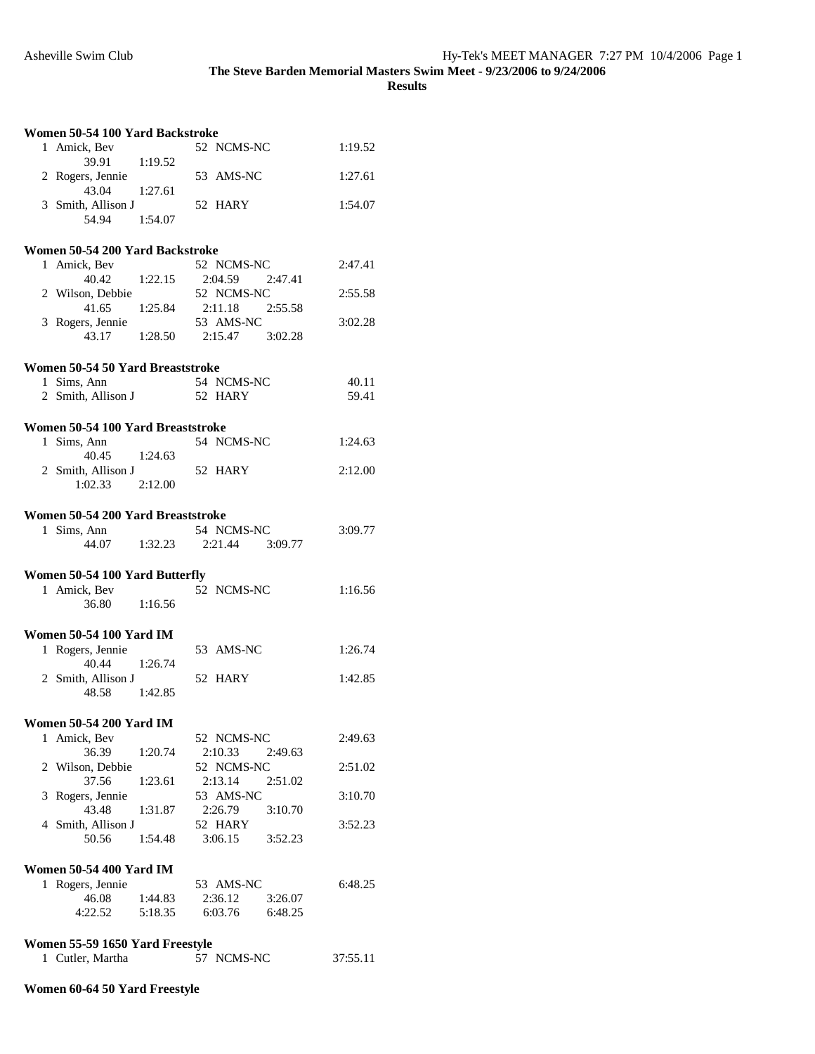**Results** 

| Women 50-54 100 Yard Backstroke |                                                    |         |                                 |          |  |
|---------------------------------|----------------------------------------------------|---------|---------------------------------|----------|--|
|                                 | 1 Amick, Bev<br>39.91                              | 1:19.52 | 52 NCMS-NC                      | 1:19.52  |  |
|                                 | 2 Rogers, Jennie<br>43.04                          | 1:27.61 | 53 AMS-NC                       | 1:27.61  |  |
|                                 | 3 Smith, Allison J                                 |         | 52 HARY                         | 1:54.07  |  |
|                                 | 54.94                                              | 1:54.07 |                                 |          |  |
|                                 | Women 50-54 200 Yard Backstroke                    |         |                                 |          |  |
|                                 | 1 Amick, Bev                                       |         | 52 NCMS-NC                      | 2:47.41  |  |
|                                 | 40.42                                              | 1:22.15 | 2:04.59<br>2:47.41              |          |  |
|                                 | 2 Wilson, Debbie                                   |         | 52 NCMS-NC                      | 2:55.58  |  |
|                                 | 41.65                                              | 1:25.84 | 2:11.18<br>2:55.58              |          |  |
|                                 | 3 Rogers, Jennie                                   |         | 53 AMS-NC                       | 3:02.28  |  |
|                                 | 43.17                                              | 1:28.50 | 2:15.47<br>3:02.28              |          |  |
|                                 | Women 50-54 50 Yard Breaststroke                   |         |                                 |          |  |
|                                 | 1 Sims, Ann                                        |         | 54 NCMS-NC                      | 40.11    |  |
|                                 | 2 Smith, Allison J                                 |         | 52 HARY                         | 59.41    |  |
|                                 |                                                    |         |                                 |          |  |
|                                 | Women 50-54 100 Yard Breaststroke                  |         |                                 |          |  |
|                                 | 1 Sims, Ann                                        |         | 54 NCMS-NC                      | 1:24.63  |  |
|                                 | 40.45 1:24.63                                      |         |                                 |          |  |
|                                 | 2 Smith, Allison J                                 |         | 52 HARY                         | 2:12.00  |  |
|                                 | 1:02.33                                            | 2:12.00 |                                 |          |  |
|                                 | Women 50-54 200 Yard Breaststroke                  |         |                                 |          |  |
|                                 | 1 Sims, Ann                                        |         | 54 NCMS-NC                      | 3:09.77  |  |
|                                 | 44.07 1:32.23                                      |         | 2:21.44<br>3:09.77              |          |  |
|                                 |                                                    |         |                                 |          |  |
|                                 | Women 50-54 100 Yard Butterfly                     |         |                                 |          |  |
|                                 | 1 Amick, Bev                                       |         | 52 NCMS-NC                      | 1:16.56  |  |
|                                 | 36.80                                              | 1:16.56 |                                 |          |  |
|                                 |                                                    |         |                                 |          |  |
|                                 | <b>Women 50-54 100 Yard IM</b><br>1 Rogers, Jennie |         | 53 AMS-NC                       | 1:26.74  |  |
|                                 | 40.44                                              | 1:26.74 |                                 |          |  |
|                                 | 2 Smith, Allison J                                 |         | 52 HARY                         | 1:42.85  |  |
|                                 | 48.58                                              | 1:42.85 |                                 |          |  |
|                                 |                                                    |         |                                 |          |  |
|                                 | Women 50-54 200 Yard IM                            |         |                                 |          |  |
| 1                               | Amick, Bev                                         |         | 52 NCMS-NC                      | 2:49.63  |  |
|                                 | 36.39                                              | 1:20.74 | 2:10.33<br>2:49.63              |          |  |
|                                 | 2 Wilson, Debbie                                   |         | 52 NCMS-NC                      | 2:51.02  |  |
|                                 | 37.56                                              | 1:23.61 | 2:13.14<br>2:51.02              |          |  |
| 3                               | Rogers, Jennie<br>43.48                            | 1:31.87 | 53 AMS-NC<br>2:26.79<br>3:10.70 | 3:10.70  |  |
|                                 | 4 Smith, Allison J                                 |         | 52 HARY                         | 3:52.23  |  |
|                                 | 50.56                                              | 1:54.48 | 3:06.15<br>3:52.23              |          |  |
|                                 |                                                    |         |                                 |          |  |
|                                 | <b>Women 50-54 400 Yard IM</b>                     |         |                                 |          |  |
| 1                               | Rogers, Jennie                                     |         | 53 AMS-NC                       | 6:48.25  |  |
|                                 | 46.08                                              | 1:44.83 | 2:36.12<br>3:26.07              |          |  |
|                                 | 4:22.52                                            | 5:18.35 | 6:03.76<br>6:48.25              |          |  |
|                                 |                                                    |         |                                 |          |  |
|                                 | Women 55-59 1650 Yard Freestyle                    |         |                                 |          |  |
|                                 | 1 Cutler, Martha                                   |         | 57 NCMS-NC                      | 37:55.11 |  |

## **Women 60-64 50 Yard Freestyle**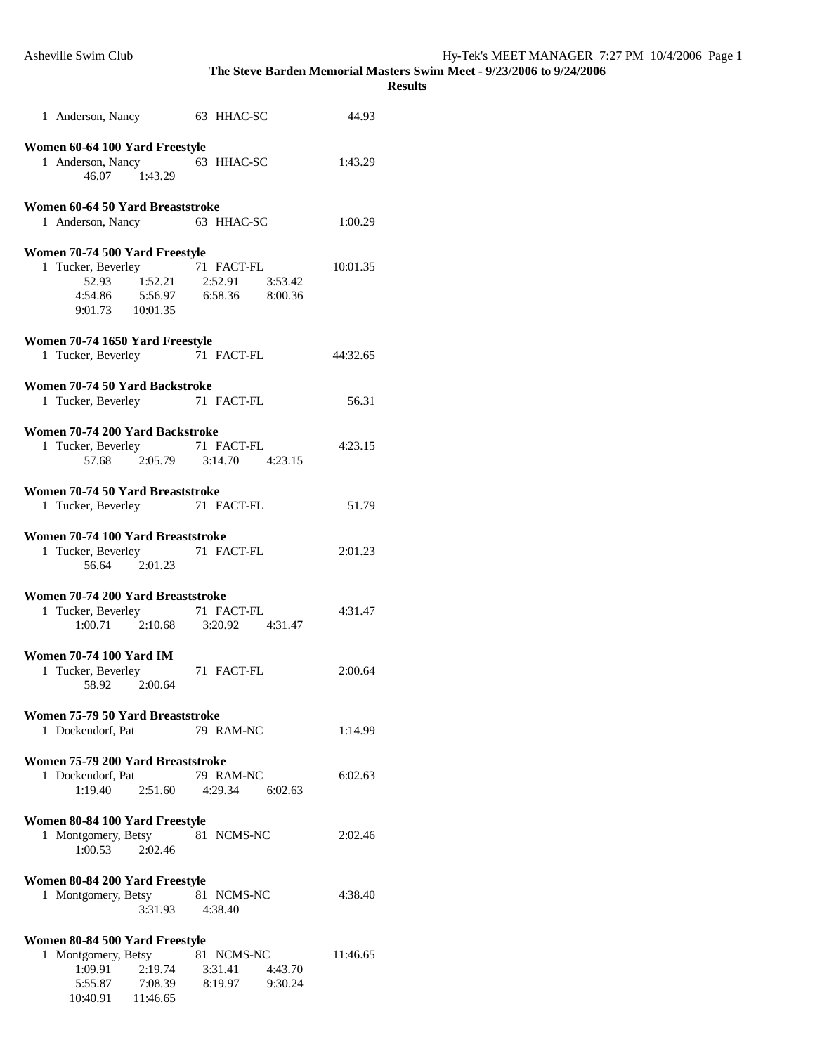| 1 Anderson, Nancy 63 HHAC-SC                                                                          |                                                                        | 44.93    |
|-------------------------------------------------------------------------------------------------------|------------------------------------------------------------------------|----------|
| Women 60-64 100 Yard Freestyle<br>1 Anderson, Nancy 63 HHAC-SC<br>46.07 1:43.29                       |                                                                        | 1:43.29  |
| Women 60-64 50 Yard Breaststroke<br>1 Anderson, Nancy 63 HHAC-SC                                      |                                                                        | 1:00.29  |
| Women 70-74 500 Yard Freestyle<br>1 Tucker, Beverley 71 FACT-FL<br>52.93<br>9:01.73 10:01.35          | $1:52.21$ $2:52.91$ $3:53.42$<br>4:54.86   5:56.97   6:58.36   8:00.36 | 10:01.35 |
| Women 70-74 1650 Yard Freestyle                                                                       |                                                                        |          |
| 1 Tucker, Beverley 71 FACT-FL                                                                         |                                                                        | 44:32.65 |
|                                                                                                       |                                                                        |          |
| Women 70-74 50 Yard Backstroke                                                                        |                                                                        |          |
| 1 Tucker, Beverley                                                                                    | 71 FACT-FL                                                             | 56.31    |
| Women 70-74 200 Yard Backstroke<br>1 Tucker, Beverley 71 FACT-FL                                      | 57.68 2.05.79 3:14.70 4:23.15                                          | 4:23.15  |
|                                                                                                       |                                                                        |          |
| Women 70-74 50 Yard Breaststroke<br>1 Tucker, Beverley 71 FACT-FL                                     |                                                                        | 51.79    |
| Women 70-74 100 Yard Breaststroke<br>1 Tucker, Beverley 71 FACT-FL<br>56.64 2:01.23                   |                                                                        | 2:01.23  |
| Women 70-74 200 Yard Breaststroke<br>1 Tucker, Beverley 71 FACT-FL<br>1:00.71 2:10.68 3:20.92 4:31.47 |                                                                        | 4:31.47  |
| <b>Women 70-74 100 Yard IM</b><br>1 Tucker, Beverley<br>58.92 2:00.64                                 | 71 FACT-FL                                                             | 2:00.64  |
| Women 75-79 50 Yard Breaststroke                                                                      |                                                                        |          |
| 1 Dockendorf, Pat                                                                                     | 79 RAM-NC                                                              | 1:14.99  |
| Women 75-79 200 Yard Breaststroke                                                                     |                                                                        |          |
| 1 Dockendorf, Pat<br>1:19.40<br>2:51.60                                                               | 79 RAM-NC<br>4:29.34 6:02.63                                           | 6:02.63  |
| Women 80-84 100 Yard Freestyle                                                                        |                                                                        |          |
| 1 Montgomery, Betsy<br>1:00.53<br>2:02.46                                                             | 81 NCMS-NC                                                             | 2:02.46  |
| Women 80-84 200 Yard Freestyle                                                                        |                                                                        |          |
| 1 Montgomery, Betsy<br>3:31.93                                                                        | 81 NCMS-NC<br>4:38.40                                                  | 4:38.40  |
| Women 80-84 500 Yard Freestyle                                                                        |                                                                        |          |
| 1 Montgomery, Betsy                                                                                   | 81 NCMS-NC                                                             | 11:46.65 |
| 1:09.91<br>2:19.74                                                                                    | 3:31.41<br>4:43.70                                                     |          |
| 5:55.87 7:08.39<br>10:40.91 11:46.65                                                                  | 8:19.97<br>9:30.24                                                     |          |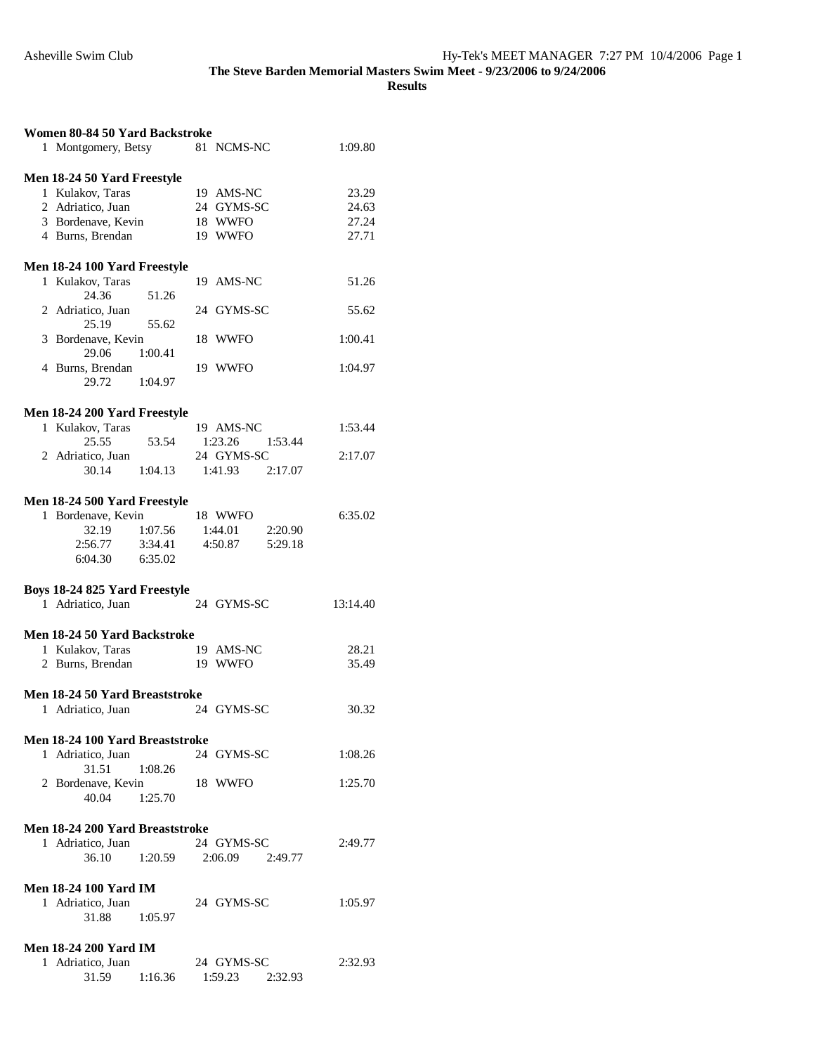| Women 80-84 50 Yard Backstroke |                                                    |         |                         |          |
|--------------------------------|----------------------------------------------------|---------|-------------------------|----------|
|                                | 1 Montgomery, Betsy                                |         | 81 NCMS-NC              | 1:09.80  |
|                                |                                                    |         |                         |          |
|                                | Men 18-24 50 Yard Freestyle                        |         |                         |          |
|                                | 1 Kulakov, Taras                                   |         | 19 AMS-NC               | 23.29    |
|                                | 2 Adriatico, Juan                                  |         | 24 GYMS-SC              | 24.63    |
|                                | 3 Bordenave, Kevin                                 |         | 18 WWFO                 | 27.24    |
|                                | 4 Burns, Brendan                                   |         | 19 WWFO                 | 27.71    |
|                                |                                                    |         |                         |          |
|                                | Men 18-24 100 Yard Freestyle                       |         |                         |          |
|                                | 1 Kulakov, Taras                                   |         | 19 AMS-NC               | 51.26    |
|                                | 24.36                                              | 51.26   |                         |          |
|                                | 2 Adriatico, Juan                                  |         | 24 GYMS-SC              | 55.62    |
|                                | 25.19                                              | 55.62   |                         |          |
|                                | 3 Bordenave, Kevin                                 |         | 18 WWFO                 | 1:00.41  |
|                                | 29.06                                              | 1:00.41 |                         |          |
|                                | 4 Burns, Brendan                                   |         | 19 WWFO                 | 1:04.97  |
|                                | 29.72                                              | 1:04.97 |                         |          |
|                                |                                                    |         |                         |          |
|                                | Men 18-24 200 Yard Freestyle                       |         |                         |          |
|                                | 1 Kulakov, Taras                                   |         | 19 AMS-NC               | 1:53.44  |
|                                | 25.55                                              | 53.54   | 1:53.44<br>1:23.26      |          |
|                                | 2 Adriatico, Juan                                  |         | 24 GYMS-SC              | 2:17.07  |
|                                | 30.14 1:04.13                                      |         | $1:41.93$ $2:17.07$     |          |
|                                |                                                    |         |                         |          |
|                                | Men 18-24 500 Yard Freestyle                       |         |                         |          |
|                                | 1 Bordenave, Kevin                                 |         | 18 WWFO                 | 6:35.02  |
|                                | 32.19 1:07.56                                      |         | 1:44.01<br>2:20.90      |          |
|                                | 2:56.77                                            | 3:34.41 | 4:50.87<br>5:29.18      |          |
|                                | 6:04.30                                            | 6:35.02 |                         |          |
|                                |                                                    |         |                         |          |
|                                |                                                    |         |                         |          |
|                                |                                                    |         |                         |          |
|                                | Boys 18-24 825 Yard Freestyle<br>1 Adriatico, Juan |         | 24 GYMS-SC              | 13:14.40 |
|                                |                                                    |         |                         |          |
|                                | Men 18-24 50 Yard Backstroke                       |         |                         |          |
|                                | 1 Kulakov, Taras                                   |         | 19 AMS-NC               | 28.21    |
|                                |                                                    |         | 19 WWFO                 | 35.49    |
|                                | 2 Burns, Brendan                                   |         |                         |          |
|                                | Men 18-24 50 Yard Breaststroke                     |         |                         |          |
|                                | 1 Adriatico, Juan                                  |         | 24 GYMS-SC              | 30.32    |
|                                |                                                    |         |                         |          |
|                                | Men 18-24 100 Yard Breaststroke                    |         |                         |          |
|                                | 1 Adriatico, Juan                                  |         | 24 GYMS-SC              | 1:08.26  |
|                                | 31.51                                              | 1:08.26 |                         |          |
|                                | 2 Bordenave, Kevin                                 |         | 18 WWFO                 | 1:25.70  |
|                                | 40.04 1:25.70                                      |         |                         |          |
|                                |                                                    |         |                         |          |
|                                | Men 18-24 200 Yard Breaststroke                    |         |                         |          |
|                                | 1 Adriatico, Juan                                  |         | 24 GYMS-SC              | 2:49.77  |
|                                | 36.10                                              |         | 1:20.59 2:06.09 2:49.77 |          |
|                                |                                                    |         |                         |          |
|                                | <b>Men 18-24 100 Yard IM</b>                       |         |                         |          |
|                                | 1 Adriatico, Juan                                  |         | 24 GYMS-SC              | 1:05.97  |
|                                | 31.88                                              | 1:05.97 |                         |          |
|                                |                                                    |         |                         |          |
|                                | <b>Men 18-24 200 Yard IM</b>                       |         |                         |          |
|                                | 1 Adriatico, Juan<br>31.59                         |         | 24 GYMS-SC              | 2:32.93  |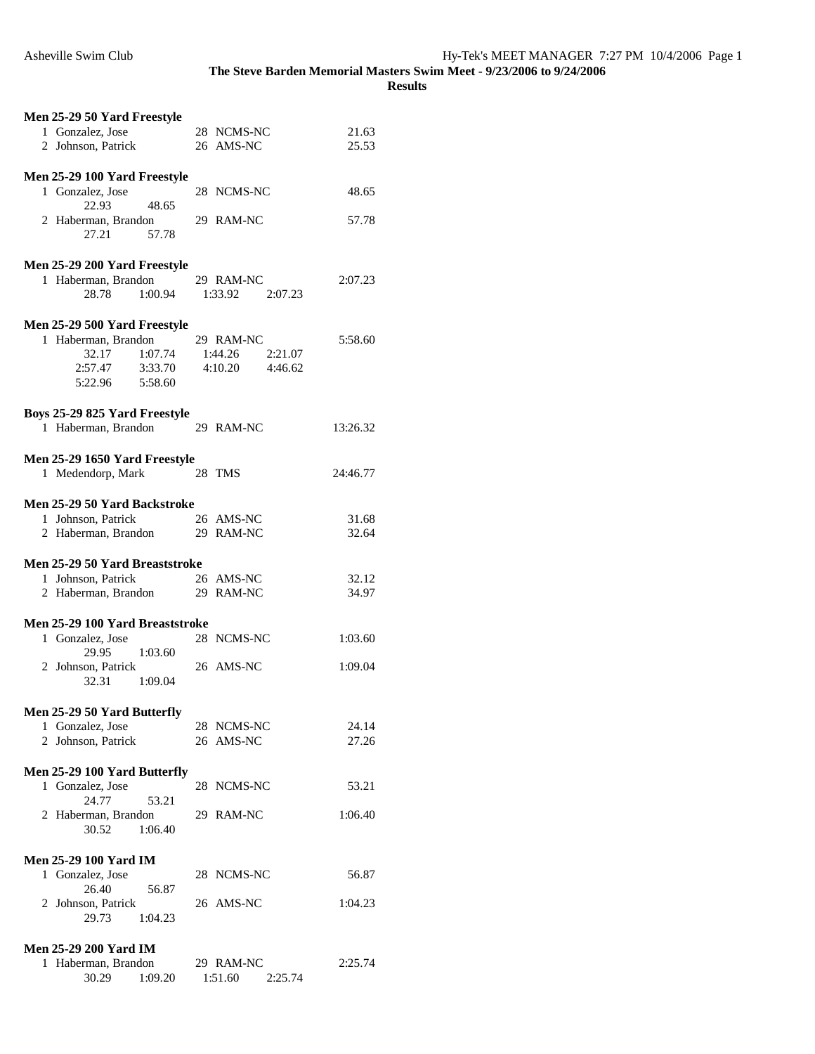| Men 25-29 50 Yard Freestyle                                       |                                 |          |
|-------------------------------------------------------------------|---------------------------------|----------|
| 1 Gonzalez, Jose                                                  | 28 NCMS-NC                      | 21.63    |
| 2 Johnson, Patrick                                                | 26 AMS-NC                       | 25.53    |
|                                                                   |                                 |          |
| Men 25-29 100 Yard Freestyle                                      |                                 |          |
| 1 Gonzalez, Jose                                                  | 28 NCMS-NC                      | 48.65    |
| 48.65<br>22.93                                                    |                                 |          |
| 2 Haberman, Brandon                                               | 29 RAM-NC                       | 57.78    |
| 27.21<br>57.78                                                    |                                 |          |
|                                                                   |                                 |          |
| Men 25-29 200 Yard Freestyle                                      |                                 |          |
| 1 Haberman, Brandon                                               | 29 RAM-NC                       | 2:07.23  |
| 28.78<br>1:00.94                                                  | 1:33.92 2:07.23                 |          |
|                                                                   |                                 |          |
|                                                                   |                                 |          |
| Men 25-29 500 Yard Freestyle                                      |                                 |          |
| 1 Haberman, Brandon                                               | 29 RAM-NC                       | 5:58.60  |
| 32.17<br>1:07.74                                                  | 1:44.26<br>2:21.07              |          |
| 2:57.47 3:33.70                                                   | 4:10.20<br>4:46.62              |          |
| 5:22.96 5:58.60                                                   |                                 |          |
|                                                                   |                                 |          |
| Boys 25-29 825 Yard Freestyle                                     |                                 |          |
| 1 Haberman, Brandon 29 RAM-NC                                     |                                 | 13:26.32 |
|                                                                   |                                 |          |
| Men 25-29 1650 Yard Freestyle                                     |                                 |          |
| 1 Medendorp, Mark                                                 | 28 TMS                          | 24:46.77 |
|                                                                   |                                 |          |
|                                                                   |                                 |          |
| Men 25-29 50 Yard Backstroke                                      |                                 |          |
| 1 Johnson, Patrick<br>20 TRAM-NC<br>2 Haberman, Brandon 29 RAM-NC | 26 AMS-NC                       | 31.68    |
|                                                                   |                                 | 32.64    |
|                                                                   |                                 |          |
|                                                                   |                                 |          |
| Men 25-29 50 Yard Breaststroke                                    |                                 |          |
| 1 Johnson, Patrick                                                | 26 AMS-NC                       | 32.12    |
| 2 Haberman, Brandon                                               | 29 RAM-NC                       | 34.97    |
|                                                                   |                                 |          |
| Men 25-29 100 Yard Breaststroke                                   |                                 |          |
|                                                                   |                                 |          |
| 1 Gonzalez, Jose                                                  | 28 NCMS-NC                      | 1:03.60  |
| 29.95 1:03.60                                                     |                                 |          |
| 2 Johnson, Patrick                                                | 26 AMS-NC                       | 1:09.04  |
| 32.31<br>1:09.04                                                  |                                 |          |
|                                                                   |                                 |          |
| Men 25-29 50 Yard Butterfly                                       |                                 |          |
| 1 Gonzalez, Jose                                                  | 28 NCMS-NC                      | 24.14    |
| 2 Johnson, Patrick                                                | 26 AMS-NC                       | 27.26    |
|                                                                   |                                 |          |
| Men 25-29 100 Yard Butterfly                                      |                                 |          |
| 1 Gonzalez, Jose                                                  | 28 NCMS-NC                      | 53.21    |
| 24.77<br>53.21                                                    |                                 |          |
| 2 Haberman, Brandon                                               | 29 RAM-NC                       | 1:06.40  |
| 30.52<br>1:06.40                                                  |                                 |          |
|                                                                   |                                 |          |
| <b>Men 25-29 100 Yard IM</b>                                      |                                 |          |
| 1 Gonzalez, Jose                                                  | 28 NCMS-NC                      | 56.87    |
| 26.40<br>56.87                                                    |                                 |          |
|                                                                   | 26 AMS-NC                       | 1:04.23  |
| 2 Johnson, Patrick<br>29.73<br>1:04.23                            |                                 |          |
|                                                                   |                                 |          |
|                                                                   |                                 |          |
| <b>Men 25-29 200 Yard IM</b>                                      |                                 |          |
| 1 Haberman, Brandon<br>30.29<br>1:09.20                           | 29 RAM-NC<br>1:51.60<br>2:25.74 | 2:25.74  |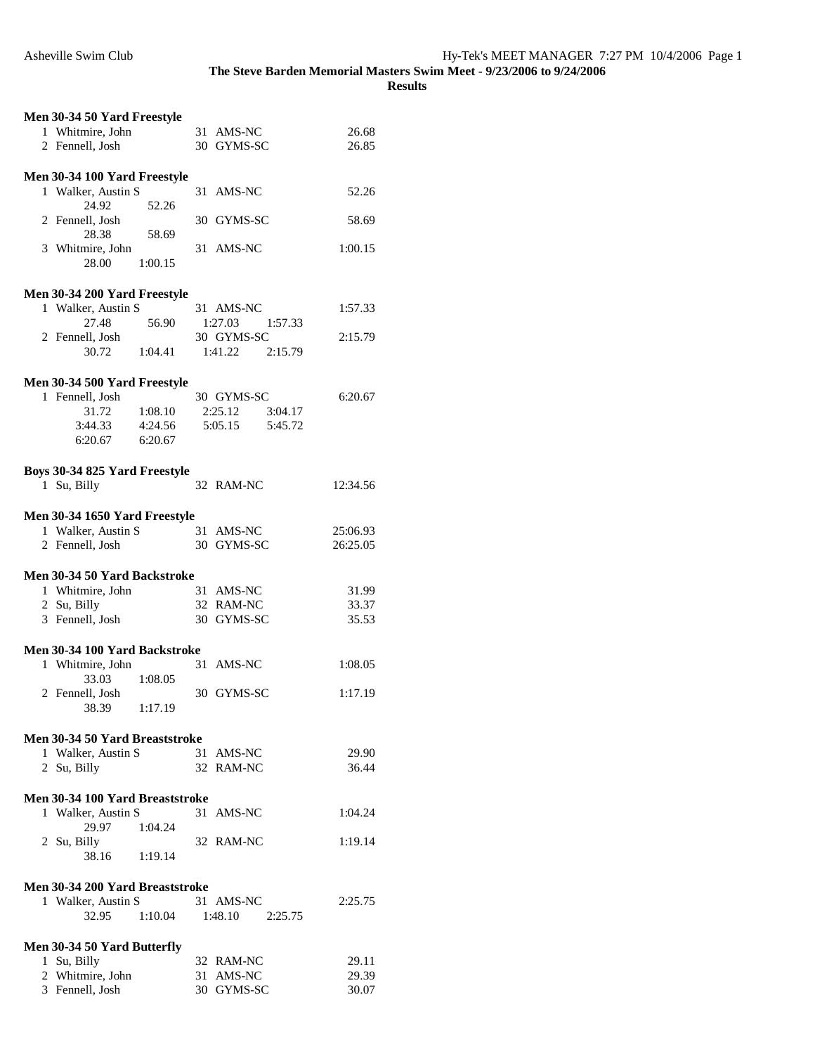| Men 30-34 50 Yard Freestyle                        |                         |                |
|----------------------------------------------------|-------------------------|----------------|
| 1 Whitmire, John                                   | 31 AMS-NC               | 26.68          |
| 2 Fennell, Josh                                    | 30 GYMS-SC              | 26.85          |
|                                                    |                         |                |
| Men 30-34 100 Yard Freestyle                       |                         |                |
| 1 Walker, Austin S                                 | 31 AMS-NC               | 52.26          |
| 24.92<br>52.26                                     |                         |                |
| 2 Fennell, Josh                                    | 30 GYMS-SC              | 58.69          |
| 28.38<br>58.69                                     |                         |                |
| 3 Whitmire, John                                   | 31 AMS-NC               | 1:00.15        |
| 28.00<br>1:00.15                                   |                         |                |
|                                                    |                         |                |
| Men 30-34 200 Yard Freestyle<br>1 Walker, Austin S | 31 AMS-NC               | 1:57.33        |
| 56.90<br>27.48                                     | $1:27.03$ $1:57.33$     |                |
| 2 Fennell, Josh                                    | 30 GYMS-SC              | 2:15.79        |
| 30.72                                              | 1:04.41 1:41.22 2:15.79 |                |
|                                                    |                         |                |
| Men 30-34 500 Yard Freestyle                       |                         |                |
| 1 Fennell, Josh                                    | 30 GYMS-SC              | 6:20.67        |
| 31.72<br>1:08.10                                   | 2:25.12 3:04.17         |                |
| 3:44.33 4:24.56                                    | 5:05.15   5:45.72       |                |
| $6:20.67$ $6:20.67$                                |                         |                |
|                                                    |                         |                |
| Boys 30-34 825 Yard Freestyle                      |                         |                |
| 1 Su, Billy                                        | 32 RAM-NC               | 12:34.56       |
|                                                    |                         |                |
| Men 30-34 1650 Yard Freestyle                      |                         |                |
| 1 Walker, Austin S                                 | 31 AMS-NC               | 25:06.93       |
| 2 Fennell, Josh                                    | 30 GYMS-SC              | 26:25.05       |
|                                                    |                         |                |
| Men 30-34 50 Yard Backstroke                       |                         |                |
| 1 Whitmire, John                                   | 31 AMS-NC               | 31.99          |
| 2 Su, Billy<br>3 Fennell, Josh                     | 32 RAM-NC<br>30 GYMS-SC | 33.37<br>35.53 |
|                                                    |                         |                |
| Men 30-34 100 Yard Backstroke                      |                         |                |
| 1 Whitmire, John                                   | 31 AMS-NC               | 1:08.05        |
| 33.03<br>1:08.05                                   |                         |                |
| 2 Fennell, Josh                                    | 30 GYMS-SC              | 1:17.19        |
| 38.39<br>1:17.19                                   |                         |                |
|                                                    |                         |                |
| Men 30-34 50 Yard Breaststroke                     |                         |                |
| 1 Walker, Austin S                                 | 31 AMS-NC               | 29.90          |
| 2 Su, Billy                                        | 32 RAM-NC               | 36.44          |
|                                                    |                         |                |
| Men 30-34 100 Yard Breaststroke                    |                         |                |
| 1 Walker, Austin S                                 | 31 AMS-NC               | 1:04.24        |
| 29.97<br>1:04.24                                   |                         |                |
| 2 Su, Billy                                        | 32 RAM-NC               | 1:19.14        |
| 38.16<br>1:19.14                                   |                         |                |
| Men 30-34 200 Yard Breaststroke                    |                         |                |
| 1 Walker, Austin S                                 | 31 AMS-NC               | 2:25.75        |
| 1:10.04<br>32.95                                   | $1:48.10$ $2:25.75$     |                |
|                                                    |                         |                |
| Men 30-34 50 Yard Butterfly                        |                         |                |
| 1 Su, Billy                                        | 32 RAM-NC               | 29.11          |
| 2 Whitmire, John                                   | 31 AMS-NC               | 29.39          |
| 3 Fennell, Josh                                    | 30 GYMS-SC              | 30.07          |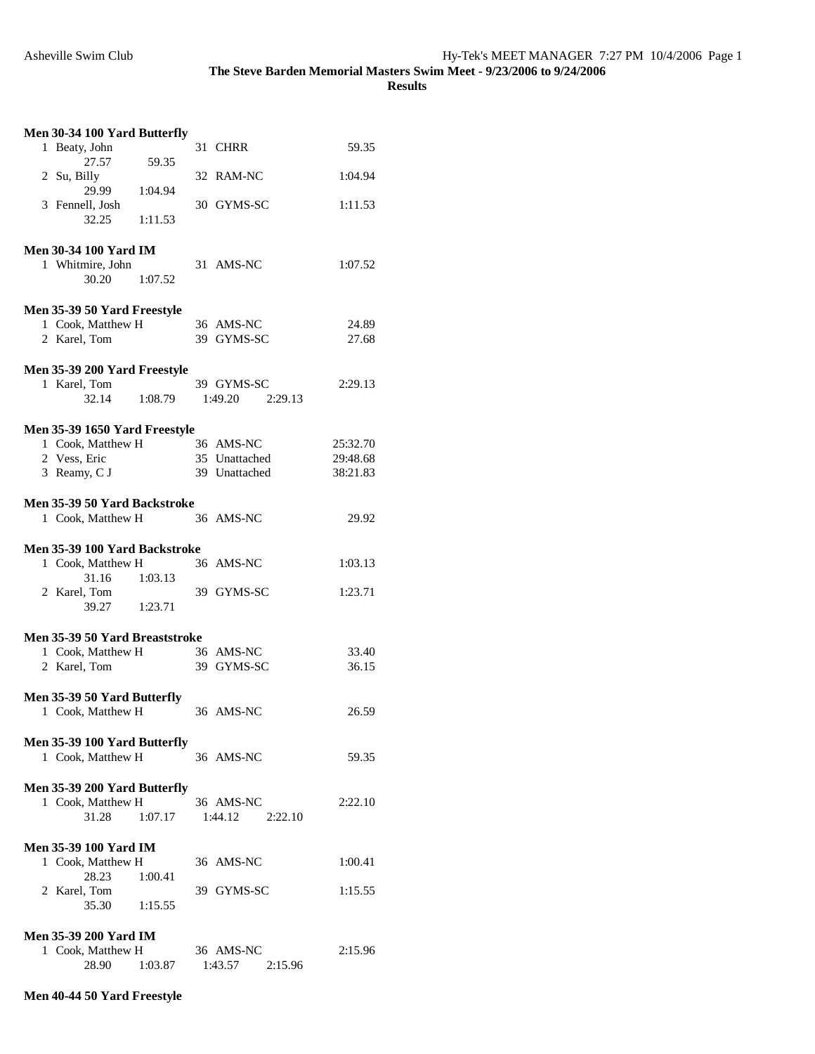**Results** 

| Men 30-34 100 Yard Butterfly                      |                    |          |
|---------------------------------------------------|--------------------|----------|
| 1 Beaty, John                                     | 31 CHRR            | 59.35    |
| 27.57<br>59.35<br>2 Su, Billy                     | 32 RAM-NC          | 1:04.94  |
| 29.99<br>1:04.94<br>3 Fennell, Josh               | 30 GYMS-SC         | 1:11.53  |
| 32.25<br>1:11.53                                  |                    |          |
| <b>Men 30-34 100 Yard IM</b>                      |                    |          |
| 1 Whitmire, John<br>30.20<br>1:07.52              | 31 AMS-NC          | 1:07.52  |
| Men 35-39 50 Yard Freestyle                       |                    |          |
| 1 Cook, Matthew H                                 | 36 AMS-NC          | 24.89    |
| 2 Karel, Tom                                      | 39 GYMS-SC         | 27.68    |
| Men 35-39 200 Yard Freestyle                      |                    |          |
| 1 Karel, Tom                                      | 39 GYMS-SC         | 2:29.13  |
| 32.14<br>1:08.79                                  | 1:49.20 2:29.13    |          |
| Men 35-39 1650 Yard Freestyle                     |                    |          |
| 1 Cook, Matthew H                                 | 36 AMS-NC          | 25:32.70 |
| 2 Vess, Eric                                      | 35 Unattached      | 29:48.68 |
| 3 Reamy, C J                                      | 39 Unattached      | 38:21.83 |
| Men 35-39 50 Yard Backstroke                      |                    |          |
| 1 Cook, Matthew H                                 | 36 AMS-NC          | 29.92    |
| Men 35-39 100 Yard Backstroke                     |                    |          |
| 1 Cook, Matthew H                                 | 36 AMS-NC          | 1:03.13  |
| 31.16 1:03.13                                     |                    |          |
| 2 Karel, Tom<br>39.27<br>1:23.71                  | 39 GYMS-SC         | 1:23.71  |
|                                                   |                    |          |
| Men 35-39 50 Yard Breaststroke                    |                    |          |
| 1 Cook, Matthew H                                 | 36 AMS-NC          | 33.40    |
| 2 Karel, Tom                                      | 39 GYMS-SC         | 36.15    |
| Men 35-39 50 Yard Butterfly                       |                    |          |
| 1 Cook, Matthew H                                 | 36 AMS-NC          | 26.59    |
| Men 35-39 100 Yard Butterfly                      |                    |          |
| 1 Cook, Matthew H                                 | 36 AMS-NC          | 59.35    |
| Men 35-39 200 Yard Butterfly                      |                    |          |
| 1 Cook, Matthew H                                 | 36 AMS-NC          | 2:22.10  |
| 31.28<br>1:07.17                                  | 1:44.12<br>2:22.10 |          |
|                                                   |                    |          |
| <b>Men 35-39 100 Yard IM</b><br>1 Cook, Matthew H | 36 AMS-NC          | 1:00.41  |
| 28.23<br>1:00.41                                  |                    |          |
| 2 Karel, Tom                                      | 39 GYMS-SC         | 1:15.55  |
| 35.30<br>1:15.55                                  |                    |          |
| <b>Men 35-39 200 Yard IM</b>                      |                    |          |
| 1 Cook, Matthew H                                 | 36 AMS-NC          | 2:15.96  |
| 28.90<br>1:03.87                                  | 1:43.57<br>2:15.96 |          |

## **Men 40-44 50 Yard Freestyle**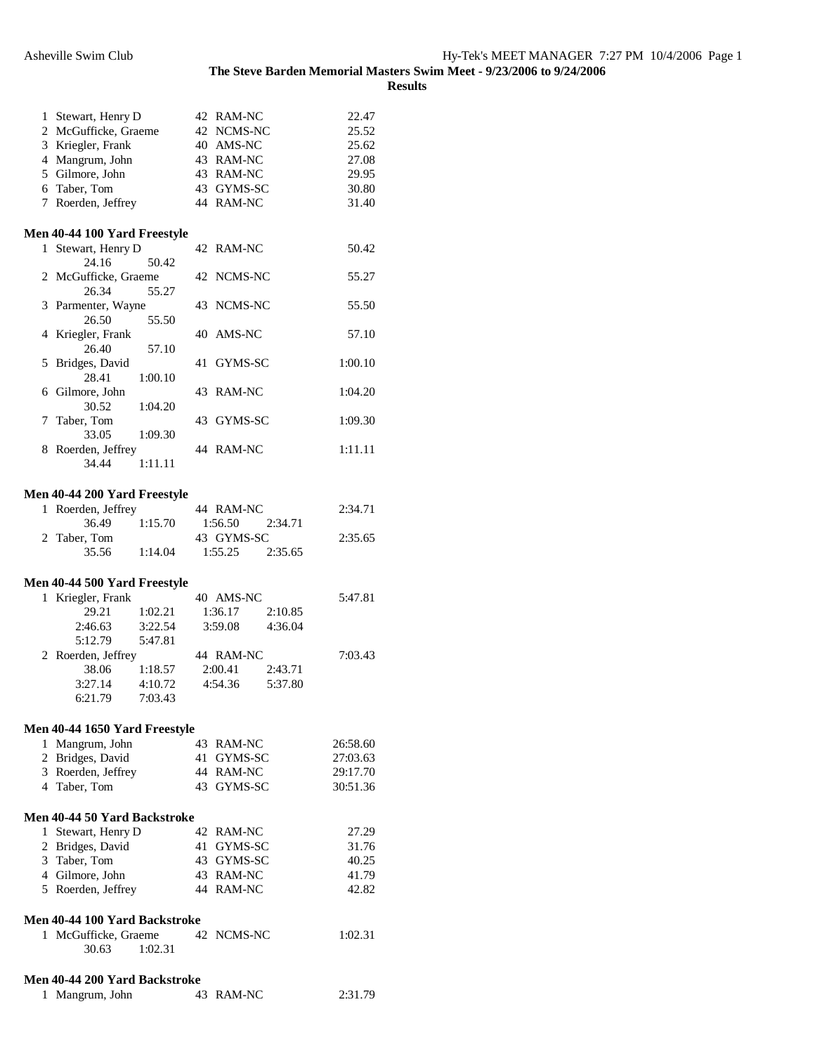|              | 1 Stewart, Henry D                  |         |    | 42 RAM-NC     |         | 22.47    |
|--------------|-------------------------------------|---------|----|---------------|---------|----------|
|              | 2 McGufficke, Graeme                |         |    | 42 NCMS-NC    |         | 25.52    |
|              | 3 Kriegler, Frank                   |         |    | 40 AMS-NC     |         | 25.62    |
|              | 4 Mangrum, John                     |         |    | 43 RAM-NC     |         | 27.08    |
|              | 5 Gilmore, John                     |         |    | 43 RAM-NC     |         | 29.95    |
|              | 6 Taber, Tom                        |         |    | 43 GYMS-SC    |         | 30.80    |
|              | 7 Roerden, Jeffrey                  |         |    | 44 RAM-NC     |         | 31.40    |
|              | <b>Men 40-44 100 Yard Freestyle</b> |         |    |               |         |          |
| $\mathbf{1}$ | Stewart, Henry D                    |         |    | 42 RAM-NC     |         | 50.42    |
|              | 24.16                               | 50.42   |    | NCMS-NC       |         |          |
|              | 2 McGufficke, Graeme<br>26.34       | 55.27   | 42 |               |         | 55.27    |
|              | 3 Parmenter, Wayne                  |         |    | 43 NCMS-NC    |         | 55.50    |
|              | 26.50                               | 55.50   |    |               |         |          |
|              | 4 Kriegler, Frank                   |         |    | 40 AMS-NC     |         | 57.10    |
| 5            | 26.40<br>Bridges, David             | 57.10   | 41 | GYMS-SC       |         | 1:00.10  |
|              | 28.41                               | 1:00.10 |    |               |         |          |
|              | 6 Gilmore, John                     |         | 43 | <b>RAM-NC</b> |         | 1:04.20  |
|              | 30.52                               | 1:04.20 |    |               |         |          |
| 7            | Taber, Tom<br>33.05                 | 1:09.30 | 43 | GYMS-SC       |         | 1:09.30  |
|              | 8 Roerden, Jeffrey                  |         |    | 44 RAM-NC     |         | 1:11.11  |
|              | 34.44                               | 1:11.11 |    |               |         |          |
|              | Men 40-44 200 Yard Freestyle        |         |    |               |         |          |
| 1            | Roerden, Jeffrey                    |         |    | 44 RAM-NC     |         | 2:34.71  |
|              | 36.49                               | 1:15.70 |    | 1:56.50       | 2:34.71 |          |
|              | 2 Taber, Tom                        |         |    | 43 GYMS-SC    |         | 2:35.65  |
|              | 35.56                               | 1:14.04 |    | 1:55.25       | 2:35.65 |          |
|              | <b>Men 40-44 500 Yard Freestyle</b> |         |    |               |         |          |
|              | 1 Kriegler, Frank                   |         |    | 40 AMS-NC     |         | 5:47.81  |
|              | 29.21                               | 1:02.21 |    | 1:36.17       | 2:10.85 |          |
|              | 2:46.63                             | 3:22.54 |    | 3:59.08       | 4:36.04 |          |
|              | 5:12.79                             | 5:47.81 |    |               |         |          |
|              | 2 Roerden, Jeffrey                  |         |    | 44 RAM-NC     |         | 7:03.43  |
|              | 38.06                               | 1:18.57 |    | 2:00.41       | 2:43.71 |          |
|              | 3:27.14                             | 4:10.72 |    | 4:54.36       | 5:37.80 |          |
|              | 6:21.79                             | 7:03.43 |    |               |         |          |
|              | Men 40-44 1650 Yard Freestyle       |         |    |               |         |          |
|              | 1 Mangrum, John                     |         |    | 43 RAM-NC     |         | 26:58.60 |
|              | 2 Bridges, David                    |         |    | 41 GYMS-SC    |         | 27:03.63 |
|              | 3 Roerden, Jeffrey                  |         |    | 44 RAM-NC     |         | 29:17.70 |
|              | 4 Taber, Tom                        |         |    | 43 GYMS-SC    |         | 30:51.36 |
|              | Men 40-44 50 Yard Backstroke        |         |    |               |         |          |
|              | 1 Stewart, Henry D                  |         |    | 42 RAM-NC     |         | 27.29    |
|              | 2 Bridges, David                    |         |    | 41 GYMS-SC    |         | 31.76    |
|              | 3 Taber, Tom                        |         |    | 43 GYMS-SC    |         | 40.25    |
|              | 4 Gilmore, John                     |         |    | 43 RAM-NC     |         | 41.79    |
|              | 5 Roerden, Jeffrey                  |         |    | 44 RAM-NC     |         | 42.82    |
|              | Men 40-44 100 Yard Backstroke       |         |    |               |         |          |
|              | 1 McGufficke, Graeme                |         |    | 42 NCMS-NC    |         | 1:02.31  |
|              | 30.63                               | 1:02.31 |    |               |         |          |
|              | Men 40-44 200 Yard Backstroke       |         |    |               |         |          |
| 1            | Mangrum, John                       |         |    | 43 RAM-NC     |         | 2:31.79  |
|              |                                     |         |    |               |         |          |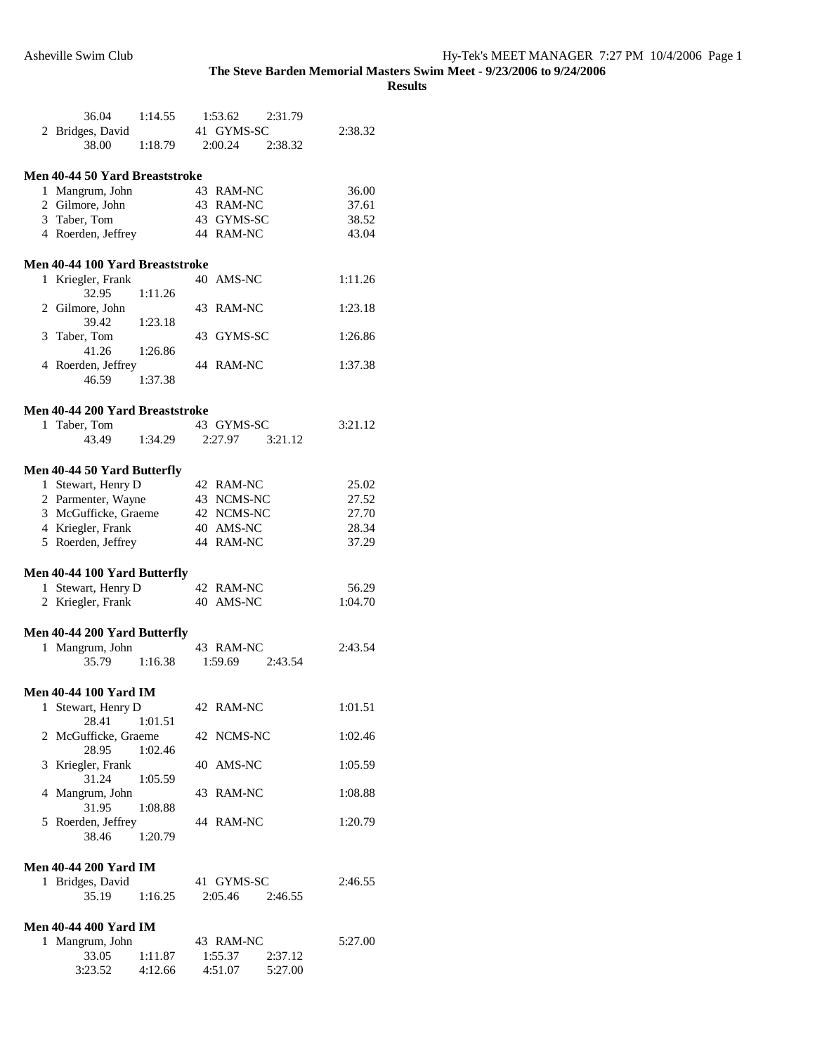|    | 36.04                                   | 1:14.55 | 1:53.62                | 2:31.79 |                |
|----|-----------------------------------------|---------|------------------------|---------|----------------|
|    | 2 Bridges, David                        |         | 41 GYMS-SC             |         | 2:38.32        |
|    | 38.00                                   | 1:18.79 | 2:00.24                | 2:38.32 |                |
|    | Men 40-44 50 Yard Breaststroke          |         |                        |         |                |
|    | 1 Mangrum, John                         |         | 43 RAM-NC              |         | 36.00          |
|    | 2 Gilmore, John                         |         | 43 RAM-NC              |         | 37.61          |
|    | 3 Taber, Tom                            |         | 43 GYMS-SC             |         | 38.52          |
|    | 4 Roerden, Jeffrey                      |         | 44 RAM-NC              |         | 43.04          |
|    | Men 40-44 100 Yard Breaststroke         |         |                        |         |                |
|    | 1 Kriegler, Frank                       |         | 40 AMS-NC              |         | 1:11.26        |
|    | 32.95                                   | 1:11.26 |                        |         |                |
|    | 2 Gilmore, John                         |         | 43 RAM-NC              |         | 1:23.18        |
|    | 39.42                                   | 1:23.18 |                        |         |                |
|    | 3 Taber, Tom                            |         | 43 GYMS-SC             |         | 1:26.86        |
|    | 41.26                                   | 1:26.86 |                        |         |                |
|    | 4 Roerden, Jeffrey                      |         | 44 RAM-NC              |         | 1:37.38        |
|    | 46.59                                   | 1:37.38 |                        |         |                |
|    | Men 40-44 200 Yard Breaststroke         |         |                        |         |                |
| 1. | Taber, Tom                              |         | 43 GYMS-SC             |         | 3:21.12        |
|    | 43.49                                   | 1:34.29 | 2:27.97                | 3:21.12 |                |
|    |                                         |         |                        |         |                |
|    | Men 40-44 50 Yard Butterfly             |         |                        |         |                |
|    | 1 Stewart, Henry D                      |         | 42 RAM-NC              |         | 25.02          |
|    | 2 Parmenter, Wayne                      |         | 43 NCMS-NC             |         | 27.52          |
|    | 3 McGufficke, Graeme                    |         | 42 NCMS-NC             |         | 27.70<br>28.34 |
|    | 4 Kriegler, Frank<br>5 Roerden, Jeffrey |         | 40 AMS-NC<br>44 RAM-NC |         | 37.29          |
|    |                                         |         |                        |         |                |
|    | Men 40-44 100 Yard Butterfly            |         |                        |         |                |
|    | 1 Stewart, Henry D                      |         | 42 RAM-NC              |         | 56.29          |
|    | 2 Kriegler, Frank                       |         | 40 AMS-NC              |         | 1:04.70        |
|    | Men 40-44 200 Yard Butterfly            |         |                        |         |                |
|    | 1 Mangrum, John                         |         | 43 RAM-NC              |         | 2:43.54        |
|    | 35.79                                   | 1:16.38 | 1:59.69                | 2:43.54 |                |
|    |                                         |         |                        |         |                |
|    | <b>Men 40-44 100 Yard IM</b>            |         |                        |         |                |
|    | 1 Stewart, Henry D                      |         | 42 RAM-NC              |         | 1:01.51        |
|    | 28.41                                   | 1:01.51 | 42 NCMS-NC             |         | 1:02.46        |
|    | 2 McGufficke, Graeme<br>28.95           | 1:02.46 |                        |         |                |
|    | 3 Kriegler, Frank                       |         | 40 AMS-NC              |         | 1:05.59        |
|    | 31.24                                   | 1:05.59 |                        |         |                |
|    | 4 Mangrum, John                         |         | 43 RAM-NC              |         | 1:08.88        |
|    | 31.95                                   | 1:08.88 |                        |         |                |
|    | 5 Roerden, Jeffrey                      |         | 44 RAM-NC              |         | 1:20.79        |
|    | 38.46                                   | 1:20.79 |                        |         |                |
|    | <b>Men 40-44 200 Yard IM</b>            |         |                        |         |                |
|    | 1 Bridges, David                        |         | 41 GYMS-SC             |         | 2:46.55        |
|    | 35.19                                   | 1:16.25 | 2:05.46                | 2:46.55 |                |
|    |                                         |         |                        |         |                |
|    | <b>Men 40-44 400 Yard IM</b>            |         |                        |         |                |
|    | 1 Mangrum, John                         |         | 43 RAM-NC              |         | 5:27.00        |
|    | 33.05                                   | 1:11.87 | 1:55.37                | 2:37.12 |                |
|    | 3:23.52                                 | 4:12.66 | 4:51.07                | 5:27.00 |                |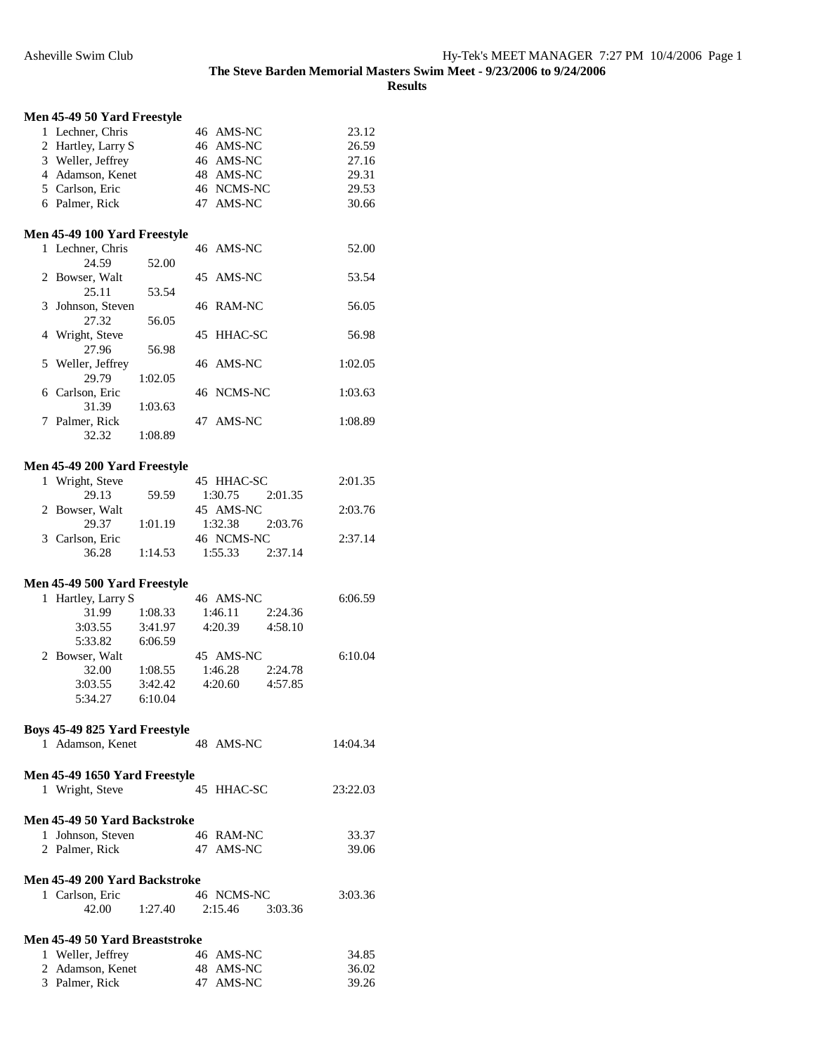| Men 45-49 50 Yard Freestyle    |         |    |                |         |          |
|--------------------------------|---------|----|----------------|---------|----------|
| 1 Lechner, Chris               |         |    | 46 AMS-NC      |         | 23.12    |
| 2 Hartley, Larry S             |         |    | 46 AMS-NC      |         | 26.59    |
| 3 Weller, Jeffrey              |         |    | 46 AMS-NC      |         | 27.16    |
| 4 Adamson, Kenet               |         |    | 48 AMS-NC      |         | 29.31    |
| 5 Carlson, Eric                |         |    | 46 NCMS-NC     |         | 29.53    |
|                                |         |    |                |         |          |
| 6 Palmer, Rick                 |         |    | 47 AMS-NC      |         | 30.66    |
| Men 45-49 100 Yard Freestyle   |         |    |                |         |          |
| 1 Lechner, Chris               |         |    | 46 AMS-NC      |         | 52.00    |
| 24.59                          | 52.00   |    |                |         |          |
| 2 Bowser, Walt                 |         |    | 45 AMS-NC      |         | 53.54    |
| 25.11                          | 53.54   |    |                |         |          |
| 3 Johnson, Steven              |         |    | 46 RAM-NC      |         | 56.05    |
| 27.32                          | 56.05   |    |                |         |          |
| 4 Wright, Steve                |         | 45 | <b>HHAC-SC</b> |         | 56.98    |
| 27.96                          |         |    |                |         |          |
|                                | 56.98   |    |                |         |          |
| 5 Weller, Jeffrey              |         |    | 46 AMS-NC      |         | 1:02.05  |
| 29.79                          | 1:02.05 |    |                |         |          |
| 6 Carlson, Eric                |         |    | 46 NCMS-NC     |         | 1:03.63  |
| 31.39                          | 1:03.63 |    |                |         |          |
| 7 Palmer, Rick                 |         |    | 47 AMS-NC      |         | 1:08.89  |
| 32.32                          | 1:08.89 |    |                |         |          |
|                                |         |    |                |         |          |
| Men 45-49 200 Yard Freestyle   |         |    |                |         |          |
| 1 Wright, Steve                |         |    | 45 HHAC-SC     |         | 2:01.35  |
| 29.13                          | 59.59   |    | 1:30.75        | 2:01.35 |          |
| 2 Bowser, Walt                 |         |    | 45 AMS-NC      |         | 2:03.76  |
| 29.37                          | 1:01.19 |    | 1:32.38        | 2:03.76 |          |
| 3 Carlson, Eric                |         |    | 46 NCMS-NC     |         | 2:37.14  |
| 36.28                          | 1:14.53 |    | 1:55.33        | 2:37.14 |          |
| Men 45-49 500 Yard Freestyle   |         |    |                |         |          |
|                                |         |    |                |         |          |
| 1 Hartley, Larry S             |         |    | 46 AMS-NC      |         | 6:06.59  |
| 31.99                          | 1:08.33 |    | 1:46.11        | 2:24.36 |          |
| 3:03.55                        | 3:41.97 |    | 4:20.39        | 4:58.10 |          |
| 5:33.82                        | 6:06.59 |    |                |         |          |
| 2 Bowser, Walt                 |         |    | 45 AMS-NC      |         | 6:10.04  |
| 32.00                          | 1:08.55 |    | 1:46.28        | 2:24.78 |          |
| 3:03.55                        | 3:42.42 |    | 4:20.60        | 4:57.85 |          |
| 5:34.27                        | 6:10.04 |    |                |         |          |
|                                |         |    |                |         |          |
| Boys 45-49 825 Yard Freestyle  |         |    |                |         |          |
| 1 Adamson, Kenet               |         |    | 48 AMS-NC      |         | 14:04.34 |
| Men 45-49 1650 Yard Freestyle  |         |    |                |         |          |
| 1 Wright, Steve                |         |    | 45 HHAC-SC     |         | 23:22.03 |
|                                |         |    |                |         |          |
| Men 45-49 50 Yard Backstroke   |         |    |                |         |          |
| 1 Johnson, Steven              |         |    | 46 RAM-NC      |         | 33.37    |
| 2 Palmer, Rick                 |         |    | 47 AMS-NC      |         | 39.06    |
|                                |         |    |                |         |          |
| Men 45-49 200 Yard Backstroke  |         |    |                |         |          |
| 1 Carlson, Eric                |         |    | 46 NCMS-NC     |         | 3:03.36  |
| 42.00                          | 1:27.40 |    | 2:15.46        | 3:03.36 |          |
| Men 45-49 50 Yard Breaststroke |         |    |                |         |          |
|                                |         |    |                |         |          |
| 1 Weller, Jeffrey              |         |    | 46 AMS-NC      |         | 34.85    |
| 2 Adamson, Kenet               |         |    | 48 AMS-NC      |         | 36.02    |
| 3 Palmer, Rick                 |         |    | 47 AMS-NC      |         | 39.26    |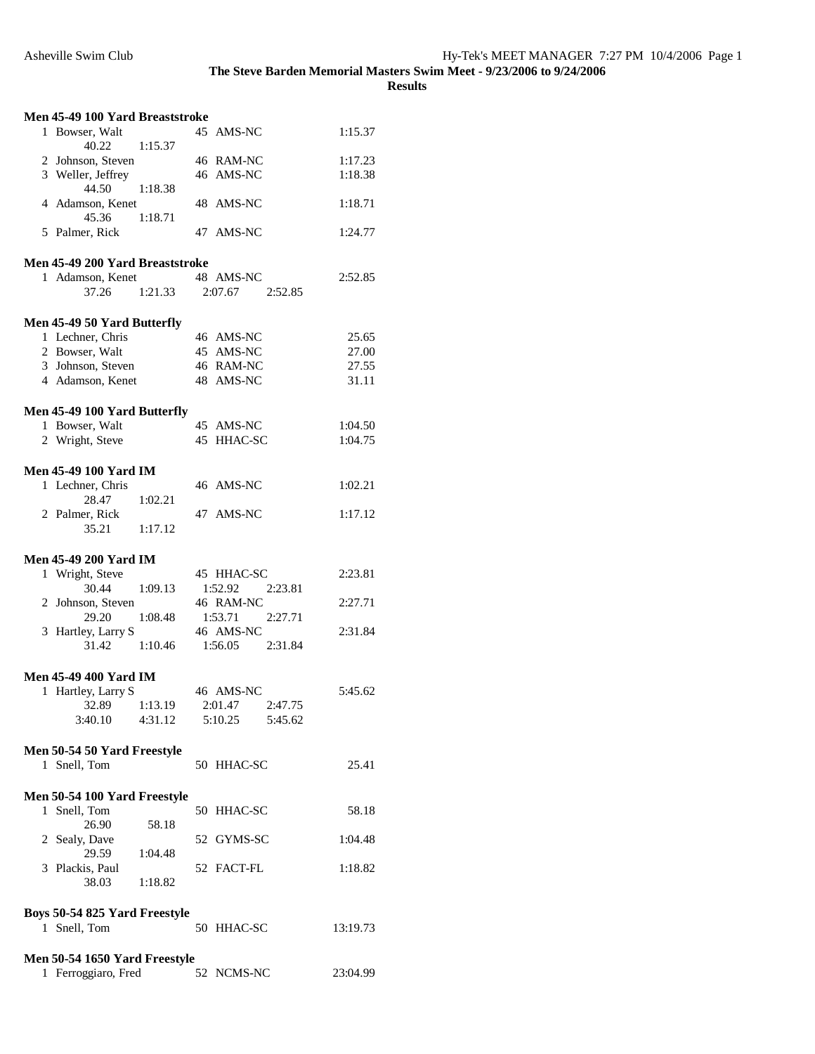| Men 45-49 100 Yard Breaststroke |                                                      |                 |                        |                    |  |
|---------------------------------|------------------------------------------------------|-----------------|------------------------|--------------------|--|
|                                 | 1 Bowser, Walt                                       |                 | 45 AMS-NC              | 1:15.37            |  |
|                                 | 40.22                                                | 1:15.37         |                        |                    |  |
|                                 | 2 Johnson, Steven<br>3 Weller, Jeffrey               |                 | 46 RAM-NC<br>46 AMS-NC | 1:17.23<br>1:18.38 |  |
|                                 | 44.50                                                | 1:18.38         |                        |                    |  |
|                                 | 4 Adamson, Kenet                                     |                 | 48 AMS-NC              | 1:18.71            |  |
|                                 | 45.36 1:18.71                                        |                 |                        |                    |  |
|                                 | 5 Palmer, Rick                                       |                 | 47 AMS-NC              | 1:24.77            |  |
|                                 | Men 45-49 200 Yard Breaststroke                      |                 |                        |                    |  |
|                                 | 1 Adamson, Kenet                                     |                 | 48 AMS-NC              | 2:52.85            |  |
|                                 | 37.26                                                | 1:21.33 2:07.67 | 2:52.85                |                    |  |
|                                 |                                                      |                 |                        |                    |  |
|                                 | Men 45-49 50 Yard Butterfly                          |                 |                        |                    |  |
|                                 | 1 Lechner, Chris                                     |                 | 46 AMS-NC              | 25.65              |  |
|                                 | 2 Bowser, Walt                                       |                 | 45 AMS-NC              | 27.00              |  |
|                                 | 3 Johnson, Steven                                    |                 | 46 RAM-NC              | 27.55              |  |
|                                 | 4 Adamson, Kenet                                     |                 | 48 AMS-NC              | 31.11              |  |
|                                 | Men 45-49 100 Yard Butterfly                         |                 |                        |                    |  |
|                                 | 1 Bowser, Walt                                       |                 | 45 AMS-NC              | 1:04.50            |  |
|                                 | 2 Wright, Steve                                      |                 | 45 HHAC-SC             | 1:04.75            |  |
|                                 |                                                      |                 |                        |                    |  |
|                                 | <b>Men 45-49 100 Yard IM</b>                         |                 |                        |                    |  |
|                                 | 1 Lechner, Chris                                     |                 | 46 AMS-NC              | 1:02.21            |  |
|                                 | 28.47<br>2 Palmer, Rick                              | 1:02.21         | 47 AMS-NC              | 1:17.12            |  |
|                                 | 35.21 1:17.12                                        |                 |                        |                    |  |
|                                 |                                                      |                 |                        |                    |  |
|                                 |                                                      |                 |                        |                    |  |
|                                 | <b>Men 45-49 200 Yard IM</b>                         |                 |                        |                    |  |
|                                 | 1 Wright, Steve                                      |                 | 45 HHAC-SC             | 2:23.81            |  |
|                                 | 30.44                                                | 1:09.13         | 2:23.81<br>1:52.92     |                    |  |
|                                 | 2 Johnson, Steven                                    |                 | 46 RAM-NC              | 2:27.71            |  |
|                                 | 29.20                                                | 1:08.48         | 1:53.71 2:27.71        |                    |  |
|                                 | 3 Hartley, Larry S                                   |                 | 46 AMS-NC              | 2:31.84            |  |
|                                 | 31.42 1:10.46                                        |                 | 1:56.05 2:31.84        |                    |  |
|                                 | <b>Men 45-49 400 Yard IM</b>                         |                 |                        |                    |  |
|                                 | 1 Hartley, Larry S                                   |                 | 46 AMS-NC              | 5:45.62            |  |
|                                 | 32.89                                                | 1:13.19         | 2:47.75<br>2:01.47     |                    |  |
|                                 | 3:40.10                                              | 4:31.12         | 5:45.62<br>5:10.25     |                    |  |
|                                 |                                                      |                 |                        |                    |  |
|                                 | Men 50-54 50 Yard Freestyle                          |                 |                        |                    |  |
|                                 | 1 Snell, Tom                                         |                 | 50 HHAC-SC             | 25.41              |  |
|                                 |                                                      |                 |                        |                    |  |
|                                 | Men 50-54 100 Yard Freestyle<br>1 Snell, Tom         |                 | 50 HHAC-SC             | 58.18              |  |
|                                 | 26.90                                                | 58.18           |                        |                    |  |
|                                 | 2 Sealy, Dave                                        |                 | 52 GYMS-SC             | 1:04.48            |  |
|                                 | 29.59                                                | 1:04.48         |                        |                    |  |
|                                 | 3 Plackis, Paul<br>38.03                             |                 | 52 FACT-FL             | 1:18.82            |  |
|                                 |                                                      | 1:18.82         |                        |                    |  |
|                                 | Boys 50-54 825 Yard Freestyle                        |                 |                        |                    |  |
|                                 | 1 Snell, Tom                                         |                 | 50 HHAC-SC             | 13:19.73           |  |
|                                 |                                                      |                 |                        |                    |  |
|                                 | Men 50-54 1650 Yard Freestyle<br>1 Ferroggiaro, Fred |                 | 52 NCMS-NC             | 23:04.99           |  |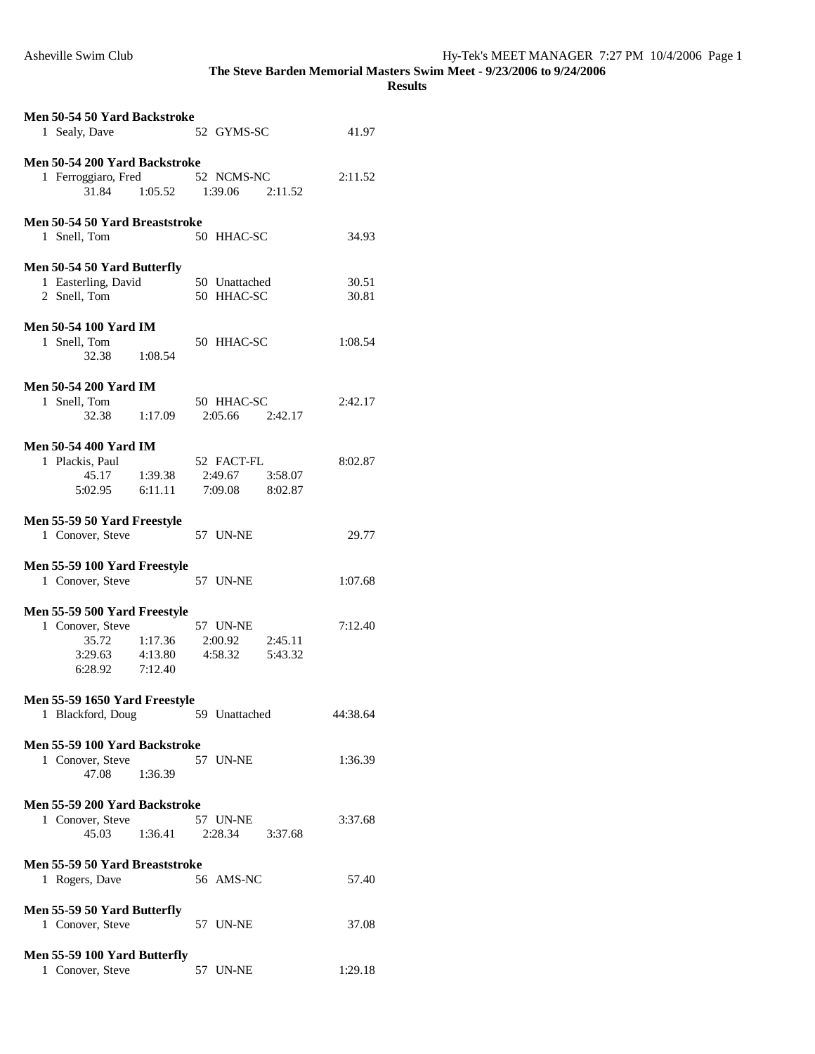| Men 50-54 50 Yard Backstroke<br>1 Sealy, Dave                      |         | 52 GYMS-SC                                  |         | 41.97          |
|--------------------------------------------------------------------|---------|---------------------------------------------|---------|----------------|
|                                                                    |         |                                             |         |                |
| Men 50-54 200 Yard Backstroke<br>1 Ferroggiaro, Fred<br>31.84      |         | 52 NCMS-NC<br>$1:05.52$ $1:39.06$ $2:11.52$ |         | 2:11.52        |
|                                                                    |         |                                             |         |                |
| Men 50-54 50 Yard Breaststroke<br>1 Snell, Tom                     |         | 50 HHAC-SC                                  |         | 34.93          |
|                                                                    |         |                                             |         |                |
| Men 50-54 50 Yard Butterfly<br>1 Easterling, David<br>2 Snell, Tom |         | 50 Unattached<br>50 HHAC-SC                 |         | 30.51<br>30.81 |
| <b>Men 50-54 100 Yard IM</b>                                       |         |                                             |         |                |
| 1 Snell, Tom                                                       |         | 50 HHAC-SC                                  |         | 1:08.54        |
| 32.38                                                              | 1:08.54 |                                             |         |                |
| <b>Men 50-54 200 Yard IM</b>                                       |         |                                             |         |                |
|                                                                    |         |                                             |         |                |
| 1 Snell, Tom<br>32.38 1:17.09                                      |         | 50 HHAC-SC<br>$2:05.66$ $2:42.17$           |         | 2:42.17        |
|                                                                    |         |                                             |         |                |
| <b>Men 50-54 400 Yard IM</b>                                       |         |                                             |         |                |
| 1 Plackis, Paul                                                    |         | 52 FACT-FL                                  |         | 8:02.87        |
| 45.17                                                              | 1:39.38 | 2:49.67                                     | 3:58.07 |                |
|                                                                    |         |                                             |         |                |
| 5:02.95                                                            | 6:11.11 | 7:09.08 8:02.87                             |         |                |
|                                                                    |         |                                             |         |                |
| Men 55-59 50 Yard Freestyle                                        |         |                                             |         |                |
| 1 Conover, Steve                                                   |         | 57 UN-NE                                    |         | 29.77          |
|                                                                    |         |                                             |         |                |
| Men 55-59 100 Yard Freestyle                                       |         |                                             |         |                |
| 1 Conover, Steve                                                   |         | 57 UN-NE                                    |         | 1:07.68        |
|                                                                    |         |                                             |         |                |
| Men 55-59 500 Yard Freestyle                                       |         |                                             |         |                |
| 1 Conover, Steve                                                   |         | 57 UN-NE                                    |         | 7:12.40        |
| 35.72                                                              | 1:17.36 | 2:00.92                                     | 2:45.11 |                |
| 3:29.63                                                            | 4:13.80 | 4:58.32                                     | 5:43.32 |                |
|                                                                    |         |                                             |         |                |
| 6:28.92                                                            | 7:12.40 |                                             |         |                |
|                                                                    |         |                                             |         |                |
| Men 55-59 1650 Yard Freestyle                                      |         |                                             |         |                |
| 1 Blackford, Doug                                                  |         | 59 Unattached                               |         | 44:38.64       |
|                                                                    |         |                                             |         |                |
| Men 55-59 100 Yard Backstroke                                      |         |                                             |         |                |
| 1 Conover, Steve                                                   |         | 57 UN-NE                                    |         | 1:36.39        |
| 47.08                                                              | 1:36.39 |                                             |         |                |
|                                                                    |         |                                             |         |                |
| Men 55-59 200 Yard Backstroke                                      |         |                                             |         |                |
| 1 Conover, Steve                                                   |         | 57 UN-NE                                    |         | 3:37.68        |
| 45.03                                                              | 1:36.41 | 2:28.34                                     | 3:37.68 |                |
|                                                                    |         |                                             |         |                |
| Men 55-59 50 Yard Breaststroke                                     |         |                                             |         |                |
| 1 Rogers, Dave                                                     |         | 56 AMS-NC                                   |         | 57.40          |
|                                                                    |         |                                             |         |                |
|                                                                    |         |                                             |         |                |
| Men 55-59 50 Yard Butterfly                                        |         |                                             |         |                |
| 1 Conover, Steve                                                   |         | 57 UN-NE                                    |         | 37.08          |
|                                                                    |         |                                             |         |                |
| Men 55-59 100 Yard Butterfly                                       |         |                                             |         |                |
| 1 Conover, Steve                                                   |         | 57 UN-NE                                    |         | 1:29.18        |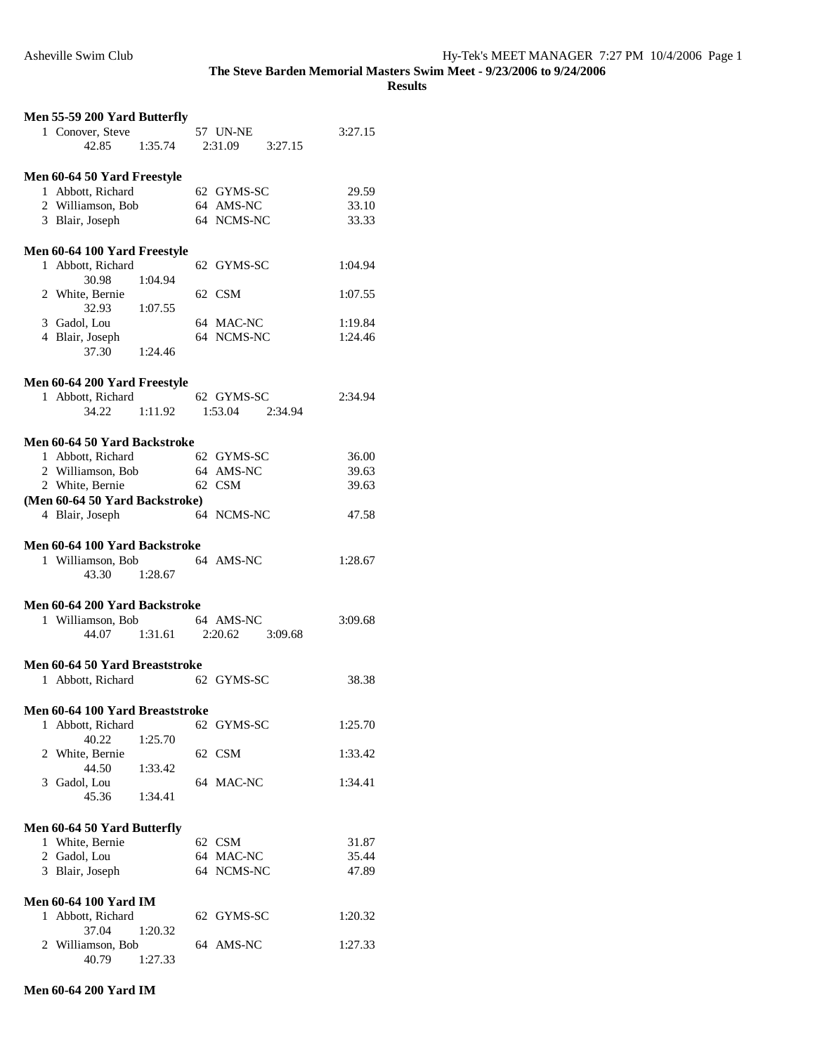|  | Men 55-59 200 Yard Butterfly                      |                       |            |                 |         |
|--|---------------------------------------------------|-----------------------|------------|-----------------|---------|
|  | 1 Conover, Steve                                  |                       | 57 UN-NE   |                 | 3:27.15 |
|  | 42.85                                             | 1:35.74               |            | 2:31.09 3:27.15 |         |
|  |                                                   |                       |            |                 |         |
|  | Men 60-64 50 Yard Freestyle                       |                       |            |                 |         |
|  | 1 Abbott, Richard                                 |                       | 62 GYMS-SC |                 | 29.59   |
|  | 2 Williamson, Bob                                 |                       | 64 AMS-NC  |                 | 33.10   |
|  | 3 Blair, Joseph                                   |                       | 64 NCMS-NC |                 | 33.33   |
|  |                                                   |                       |            |                 |         |
|  | Men 60-64 100 Yard Freestyle                      |                       |            |                 |         |
|  | 1 Abbott, Richard                                 |                       | 62 GYMS-SC |                 | 1:04.94 |
|  | 30.98                                             | 1:04.94               |            |                 |         |
|  | 2 White, Bernie                                   |                       | 62 CSM     |                 | 1:07.55 |
|  | 32.93                                             | 1:07.55               |            |                 |         |
|  | 3 Gadol, Lou                                      |                       | 64 MAC-NC  |                 | 1:19.84 |
|  | 4 Blair, Joseph                                   |                       | 64 NCMS-NC |                 | 1:24.46 |
|  | 37.30                                             | 1:24.46               |            |                 |         |
|  |                                                   |                       |            |                 |         |
|  | Men 60-64 200 Yard Freestyle                      |                       |            |                 |         |
|  | 1 Abbott, Richard                                 |                       | 62 GYMS-SC |                 | 2:34.94 |
|  | 34.22                                             | 1:11.92               | 1:53.04    | 2:34.94         |         |
|  |                                                   |                       |            |                 |         |
|  | Men 60-64 50 Yard Backstroke                      |                       |            |                 |         |
|  | 1 Abbott, Richard                                 |                       | 62 GYMS-SC |                 | 36.00   |
|  | 2 Williamson, Bob 64 AMS-NC                       |                       | 62 CSM     |                 | 39.63   |
|  | 2 White, Bernie<br>(Men 60-64 50 Yard Backstroke) |                       |            |                 | 39.63   |
|  | 4 Blair, Joseph                                   |                       | 64 NCMS-NC |                 | 47.58   |
|  |                                                   |                       |            |                 |         |
|  |                                                   |                       |            |                 |         |
|  |                                                   |                       |            |                 |         |
|  | Men 60-64 100 Yard Backstroke                     |                       |            |                 |         |
|  | 1 Williamson, Bob                                 |                       | 64 AMS-NC  |                 | 1:28.67 |
|  | 43.30 1:28.67                                     |                       |            |                 |         |
|  |                                                   |                       |            |                 |         |
|  | Men 60-64 200 Yard Backstroke                     |                       |            |                 |         |
|  | 1 Williamson, Bob                                 |                       | 64 AMS-NC  |                 | 3:09.68 |
|  |                                                   | 44.07 1:31.61 2:20.62 |            | 3:09.68         |         |
|  | Men 60-64 50 Yard Breaststroke                    |                       |            |                 |         |
|  | 1 Abbott, Richard                                 |                       | 62 GYMS-SC |                 | 38.38   |
|  |                                                   |                       |            |                 |         |
|  | Men 60-64 100 Yard Breaststroke                   |                       |            |                 |         |
|  | 1 Abbott, Richard                                 |                       | 62 GYMS-SC |                 | 1:25.70 |
|  | 40.22                                             | 1:25.70               |            |                 |         |
|  | 2 White, Bernie                                   |                       | 62 CSM     |                 | 1:33.42 |
|  | 44.50                                             | 1:33.42               |            |                 |         |
|  | 3 Gadol, Lou                                      |                       | 64 MAC-NC  |                 | 1:34.41 |
|  | 45.36                                             | 1:34.41               |            |                 |         |
|  |                                                   |                       |            |                 |         |
|  | Men 60-64 50 Yard Butterfly                       |                       |            |                 |         |
|  | 1 White, Bernie                                   |                       | 62 CSM     |                 | 31.87   |
|  | 2 Gadol, Lou                                      |                       | 64 MAC-NC  |                 | 35.44   |
|  | 3 Blair, Joseph                                   |                       | 64 NCMS-NC |                 | 47.89   |
|  |                                                   |                       |            |                 |         |
|  | <b>Men 60-64 100 Yard IM</b>                      |                       |            |                 |         |
|  | 1 Abbott, Richard                                 |                       | 62 GYMS-SC |                 | 1:20.32 |
|  | 37.04                                             | 1:20.32               |            |                 |         |
|  | 2 Williamson, Bob<br>40.79                        | 1:27.33               | 64 AMS-NC  |                 | 1:27.33 |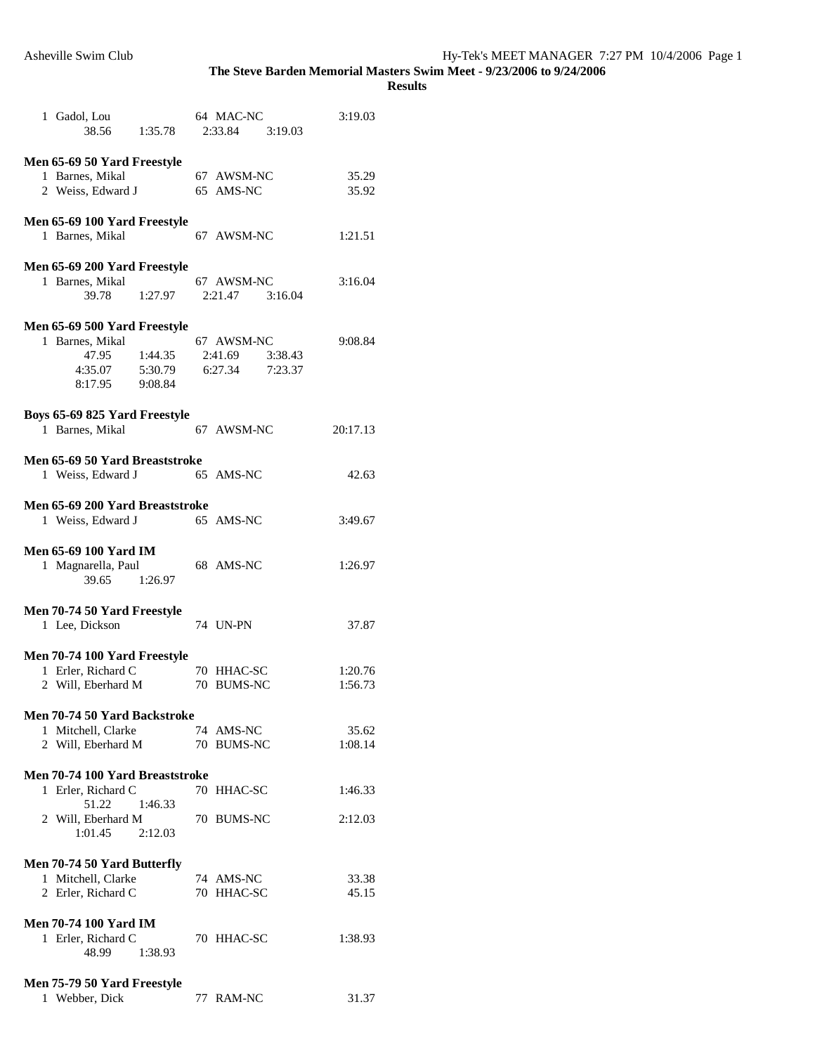| 1 Gadol, Lou<br>38.56 1:35.78                                                          |                    | 64 MAC-NC<br>2:33.84 3:19.03                     | 3:19.03  |
|----------------------------------------------------------------------------------------|--------------------|--------------------------------------------------|----------|
| Men 65-69 50 Yard Freestyle                                                            |                    |                                                  |          |
|                                                                                        |                    |                                                  |          |
| 1 Barnes, Mikal                                                                        |                    | 67 AWSM-NC                                       | 35.29    |
| 2 Weiss, Edward J                                                                      |                    | 65 AMS-NC                                        | 35.92    |
| Men 65-69 100 Yard Freestyle<br>1 Barnes, Mikal                                        |                    | 67 AWSM-NC                                       | 1:21.51  |
|                                                                                        |                    |                                                  |          |
| Men 65-69 200 Yard Freestyle                                                           |                    |                                                  |          |
| 1 Barnes, Mikal                                                                        |                    | 67 AWSM-NC                                       | 3:16.04  |
| 39.78                                                                                  | 1:27.97            | 2:21.47 3:16.04                                  |          |
| Men 65-69 500 Yard Freestyle<br>1 Barnes, Mikal<br>47.95<br>4:35.07 5:30.79<br>8:17.95 | 1:44.35<br>9:08.84 | 67 AWSM-NC<br>2:41.69 3:38.43<br>6:27.34 7:23.37 | 9:08.84  |
|                                                                                        |                    |                                                  |          |
| Boys 65-69 825 Yard Freestyle<br>1 Barnes, Mikal                                       |                    | 67 AWSM-NC                                       | 20:17.13 |
| Men 65-69 50 Yard Breaststroke                                                         |                    |                                                  |          |
| 1 Weiss, Edward J                                                                      |                    | 65 AMS-NC                                        | 42.63    |
|                                                                                        |                    |                                                  |          |
| Men 65-69 200 Yard Breaststroke<br>1 Weiss, Edward J                                   |                    | 65 AMS-NC                                        | 3:49.67  |
| <b>Men 65-69 100 Yard IM</b><br>1 Magnarella, Paul<br>39.65                            | 1:26.97            | 68 AMS-NC                                        | 1:26.97  |
| Men 70-74 50 Yard Freestyle<br>1 Lee, Dickson                                          |                    | 74 UN-PN                                         | 37.87    |
| Men 70-74 100 Yard Freestyle                                                           |                    |                                                  |          |
| 1 Erler, Richard C                                                                     |                    | 70 HHAC-SC                                       | 1:20.76  |
| 2 Will, Eberhard M                                                                     |                    | 70 BUMS-NC                                       | 1:56.73  |
|                                                                                        |                    |                                                  |          |
|                                                                                        |                    |                                                  |          |
| <b>Men 70-74 50 Yard Backstroke</b>                                                    |                    |                                                  |          |
| 1 Mitchell, Clarke                                                                     |                    | 74 AMS-NC                                        | 35.62    |
| 2 Will, Eberhard M                                                                     |                    | 70 BUMS-NC                                       | 1:08.14  |
|                                                                                        |                    |                                                  |          |
| Men 70-74 100 Yard Breaststroke                                                        |                    |                                                  |          |
| 1 Erler, Richard C                                                                     |                    | 70 HHAC-SC                                       | 1:46.33  |
| 51.22                                                                                  | 1:46.33            |                                                  |          |
|                                                                                        |                    |                                                  |          |
| 2 Will, Eberhard M                                                                     |                    | 70 BUMS-NC                                       | 2:12.03  |
| 1:01.45                                                                                | 2:12.03            |                                                  |          |
|                                                                                        |                    |                                                  |          |
| Men 70-74 50 Yard Butterfly                                                            |                    |                                                  |          |
| 1 Mitchell, Clarke                                                                     |                    | 74 AMS-NC                                        | 33.38    |
| 2 Erler, Richard C                                                                     |                    | 70 HHAC-SC                                       | 45.15    |
|                                                                                        |                    |                                                  |          |
| <b>Men 70-74 100 Yard IM</b>                                                           |                    |                                                  |          |
|                                                                                        |                    |                                                  |          |
| 1 Erler, Richard C                                                                     |                    | 70 HHAC-SC                                       | 1:38.93  |
| 48.99                                                                                  | 1:38.93            |                                                  |          |
|                                                                                        |                    |                                                  |          |
| Men 75-79 50 Yard Freestyle                                                            |                    |                                                  |          |
| 1 Webber, Dick                                                                         |                    | 77 RAM-NC                                        | 31.37    |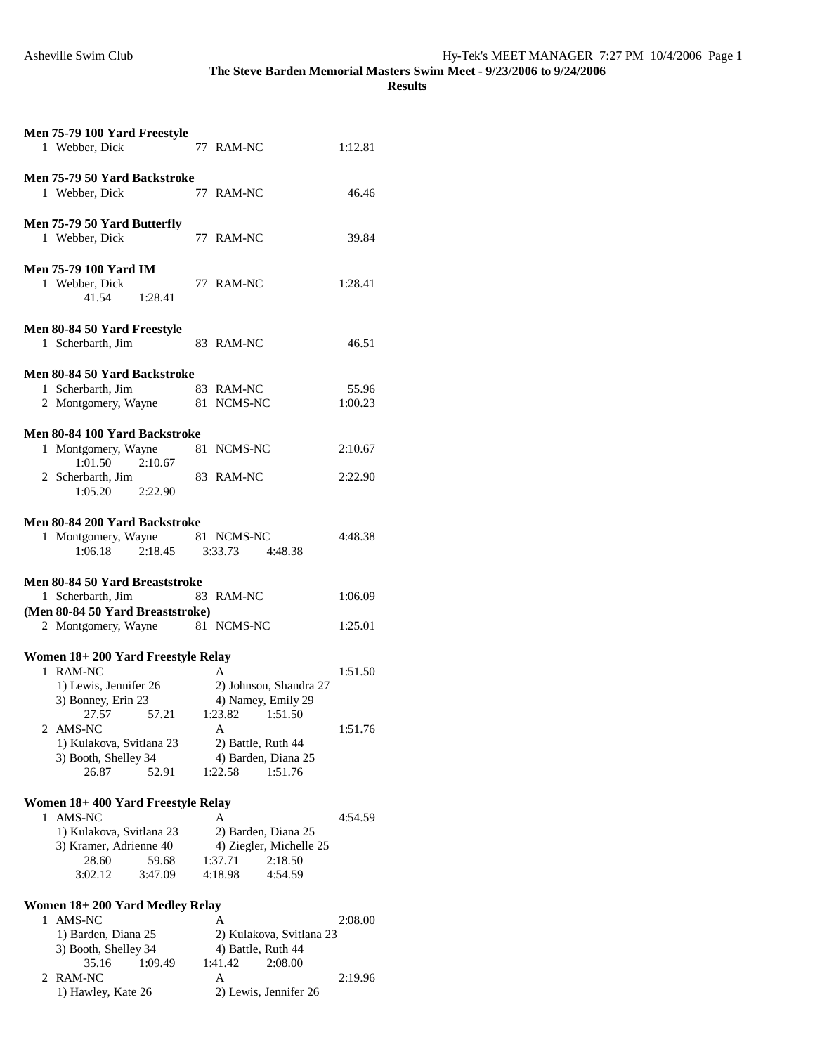|  | Men 75-79 100 Yard Freestyle        |                               |         |  |  |
|--|-------------------------------------|-------------------------------|---------|--|--|
|  | 1 Webber, Dick                      | 77 RAM-NC                     | 1:12.81 |  |  |
|  |                                     |                               |         |  |  |
|  | Men 75-79 50 Yard Backstroke        |                               |         |  |  |
|  | 1 Webber, Dick                      | 77 RAM-NC                     | 46.46   |  |  |
|  |                                     |                               |         |  |  |
|  | Men 75-79 50 Yard Butterfly         |                               |         |  |  |
|  | 1 Webber, Dick                      | 77 RAM-NC                     | 39.84   |  |  |
|  | <b>Men 75-79 100 Yard IM</b>        |                               |         |  |  |
|  | 1 Webber, Dick                      | 77 RAM-NC                     | 1:28.41 |  |  |
|  | 41.54<br>1:28.41                    |                               |         |  |  |
|  |                                     |                               |         |  |  |
|  | Men 80-84 50 Yard Freestyle         |                               |         |  |  |
|  | 1 Scherbarth, Jim                   | 83 RAM-NC                     | 46.51   |  |  |
|  |                                     |                               |         |  |  |
|  | <b>Men 80-84 50 Yard Backstroke</b> |                               |         |  |  |
|  | 1 Scherbarth, Jim                   | 83 RAM-NC                     | 55.96   |  |  |
|  | 2 Montgomery, Wayne                 | 81 NCMS-NC                    | 1:00.23 |  |  |
|  |                                     |                               |         |  |  |
|  | Men 80-84 100 Yard Backstroke       |                               |         |  |  |
|  | 1 Montgomery, Wayne                 | 81 NCMS-NC                    | 2:10.67 |  |  |
|  | 2:10.67<br>1:01.50                  |                               |         |  |  |
|  | 2 Scherbarth, Jim                   | 83 RAM-NC                     | 2:22.90 |  |  |
|  | 1:05.20 2:22.90                     |                               |         |  |  |
|  |                                     |                               |         |  |  |
|  | Men 80-84 200 Yard Backstroke       |                               |         |  |  |
|  | 1 Montgomery, Wayne 81 NCMS-NC      |                               | 4:48.38 |  |  |
|  | $2:18.45$ $3:33.73$<br>1:06.18      | 4:48.38                       |         |  |  |
|  |                                     |                               |         |  |  |
|  |                                     |                               |         |  |  |
|  | Men 80-84 50 Yard Breaststroke      |                               |         |  |  |
|  | 1 Scherbarth, Jim                   | 83 RAM-NC                     | 1:06.09 |  |  |
|  | (Men 80-84 50 Yard Breaststroke)    |                               |         |  |  |
|  | 2 Montgomery, Wayne 81 NCMS-NC      |                               | 1:25.01 |  |  |
|  |                                     |                               |         |  |  |
|  | Women 18+200 Yard Freestyle Relay   |                               |         |  |  |
|  | 1 RAM-NC                            | A                             | 1:51.50 |  |  |
|  | 1) Lewis, Jennifer 26               | 2) Johnson, Shandra 27        |         |  |  |
|  | 3) Bonney, Erin 23                  | 4) Namey, Emily 29            |         |  |  |
|  | 57.21<br>27.57<br>2 AMS-NC          | 1:51.50<br>1:23.82<br>A       | 1:51.76 |  |  |
|  | 1) Kulakova, Svitlana 23            | 2) Battle, Ruth 44            |         |  |  |
|  | 3) Booth, Shelley 34                | 4) Barden, Diana 25           |         |  |  |
|  | 26.87<br>52.91                      | 1:22.58<br>1:51.76            |         |  |  |
|  |                                     |                               |         |  |  |
|  | Women 18+400 Yard Freestyle Relay   |                               |         |  |  |
|  | 1 AMS-NC                            | А                             | 4:54.59 |  |  |
|  | 1) Kulakova, Svitlana 23            | 2) Barden, Diana 25           |         |  |  |
|  | 3) Kramer, Adrienne 40              | 4) Ziegler, Michelle 25       |         |  |  |
|  | 28.60<br>59.68                      | 1:37.71<br>2:18.50            |         |  |  |
|  | 3:02.12<br>3:47.09                  | 4:18.98<br>4:54.59            |         |  |  |
|  |                                     |                               |         |  |  |
|  | Women 18+200 Yard Medley Relay      |                               |         |  |  |
|  | 1 AMS-NC                            | А                             | 2:08.00 |  |  |
|  | 1) Barden, Diana 25                 | 2) Kulakova, Svitlana 23      |         |  |  |
|  | 3) Booth, Shelley 34                | 4) Battle, Ruth 44<br>1:41.42 |         |  |  |
|  | 35.16<br>1:09.49<br>2 RAM-NC        | 2:08.00<br>A                  | 2:19.96 |  |  |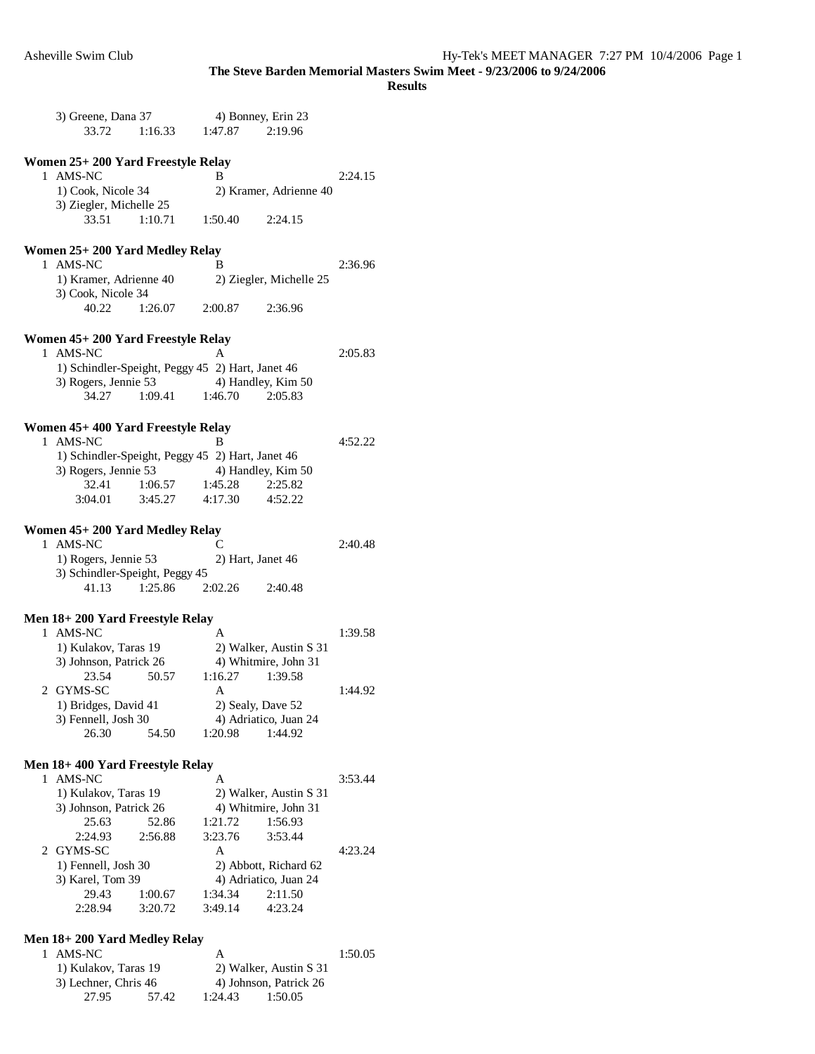|   | 3) Greene, Dana 37<br>33.72                                              | 1:16.33         | 4) Bonney, Erin 23<br>1:47.87 | 2:19.96                 |         |
|---|--------------------------------------------------------------------------|-----------------|-------------------------------|-------------------------|---------|
|   | Women 25+ 200 Yard Freestyle Relay                                       |                 |                               |                         |         |
|   | 1 AMS-NC                                                                 |                 | B                             |                         | 2:24.15 |
|   | 1) Cook, Nicole 34                                                       |                 |                               | 2) Kramer, Adrienne 40  |         |
|   | 3) Ziegler, Michelle 25                                                  |                 |                               |                         |         |
|   | 33.51                                                                    | 1:10.71         | 1:50.40                       | 2:24.15                 |         |
|   |                                                                          |                 |                               |                         |         |
|   | Women 25+ 200 Yard Medley Relay<br>1 AMS-NC                              |                 | B                             |                         | 2:36.96 |
|   | 1) Kramer, Adrienne 40                                                   |                 |                               | 2) Ziegler, Michelle 25 |         |
|   | 3) Cook, Nicole 34                                                       |                 |                               |                         |         |
|   | 40.22                                                                    | 1:26.07         | 2:00.87                       | 2:36.96                 |         |
|   | Women 45+ 200 Yard Freestyle Relay                                       |                 |                               |                         |         |
|   | 1 AMS-NC                                                                 |                 | A                             |                         | 2:05.83 |
|   | 1) Schindler-Speight, Peggy 45 2) Hart, Janet 46                         |                 |                               |                         |         |
|   | 3) Rogers, Jennie 53                                                     |                 | 4) Handley, Kim 50            |                         |         |
|   | 34.27                                                                    | 1:09.41 1:46.70 |                               | 2:05.83                 |         |
|   |                                                                          |                 |                               |                         |         |
|   | Women 45+ 400 Yard Freestyle Relay                                       |                 |                               |                         |         |
|   | 1 AMS-NC                                                                 |                 | B                             |                         | 4:52.22 |
|   | 1) Schindler-Speight, Peggy 45 2) Hart, Janet 46<br>3) Rogers, Jennie 53 |                 | 4) Handley, Kim 50            |                         |         |
|   | 32.41                                                                    | 1:06.57         | 1:45.28                       | 2:25.82                 |         |
|   | 3:04.01                                                                  | 3:45.27         | 4:17.30                       | 4:52.22                 |         |
|   |                                                                          |                 |                               |                         |         |
|   | Women 45+ 200 Yard Medley Relay                                          |                 |                               |                         |         |
|   | 1 AMS-NC                                                                 |                 | C                             |                         | 2:40.48 |
|   | 1) Rogers, Jennie 53                                                     |                 | 2) Hart, Janet 46             |                         |         |
|   | 3) Schindler-Speight, Peggy 45                                           |                 |                               |                         |         |
|   | 41.13                                                                    | 1:25.86         | 2:02.26 2:40.48               |                         |         |
|   | Men 18+ 200 Yard Freestyle Relay                                         |                 |                               |                         |         |
|   | 1 AMS-NC                                                                 |                 | A                             |                         | 1:39.58 |
|   | 1) Kulakov, Taras 19                                                     |                 |                               | 2) Walker, Austin S 31  |         |
|   | 3) Johnson, Patrick 26                                                   |                 |                               | 4) Whitmire, John 31    |         |
|   | 23.54                                                                    | 50.57           | 1:16.27                       | 1:39.58                 |         |
| 2 | GYMS-SC                                                                  |                 | А                             |                         | 1:44.92 |
|   | 1) Bridges, David 41                                                     |                 | 2) Sealy, Dave 52             |                         |         |
|   | 3) Fennell, Josh 30                                                      |                 |                               | 4) Adriatico, Juan 24   |         |
|   | 26.30                                                                    | 54.50           | 1:20.98                       | 1:44.92                 |         |
|   | Men 18+ 400 Yard Freestyle Relay                                         |                 |                               |                         |         |
| 1 | AMS-NC                                                                   |                 | A                             |                         | 3:53.44 |
|   | 1) Kulakov, Taras 19                                                     |                 |                               | 2) Walker, Austin S 31  |         |
|   | 3) Johnson, Patrick 26                                                   |                 |                               | 4) Whitmire, John 31    |         |
|   | 25.63                                                                    | 52.86           | 1:21.72                       | 1:56.93                 |         |
|   | 2:24.93                                                                  | 2:56.88         | 3:23.76                       | 3:53.44                 |         |
|   | 2 GYMS-SC                                                                |                 | A                             |                         | 4:23.24 |
|   | 1) Fennell, Josh 30                                                      |                 |                               | 2) Abbott, Richard 62   |         |
|   | 3) Karel, Tom 39                                                         |                 |                               | 4) Adriatico, Juan 24   |         |
|   | 29.43                                                                    | 1:00.67         | 1:34.34                       | 2:11.50                 |         |
|   | 2:28.94                                                                  | 3:20.72         | 3:49.14                       | 4:23.24                 |         |
|   | Men 18+ 200 Yard Medley Relay                                            |                 |                               |                         |         |
| 1 | AMS-NC                                                                   |                 | A                             |                         | 1:50.05 |
|   | 1) Kulakov, Taras 19                                                     |                 |                               | 2) Walker, Austin S 31  |         |
|   | 3) Lechner, Chris 46                                                     |                 |                               | 4) Johnson, Patrick 26  |         |
|   | 27.95                                                                    | 57.42           | 1:24.43                       | 1:50.05                 |         |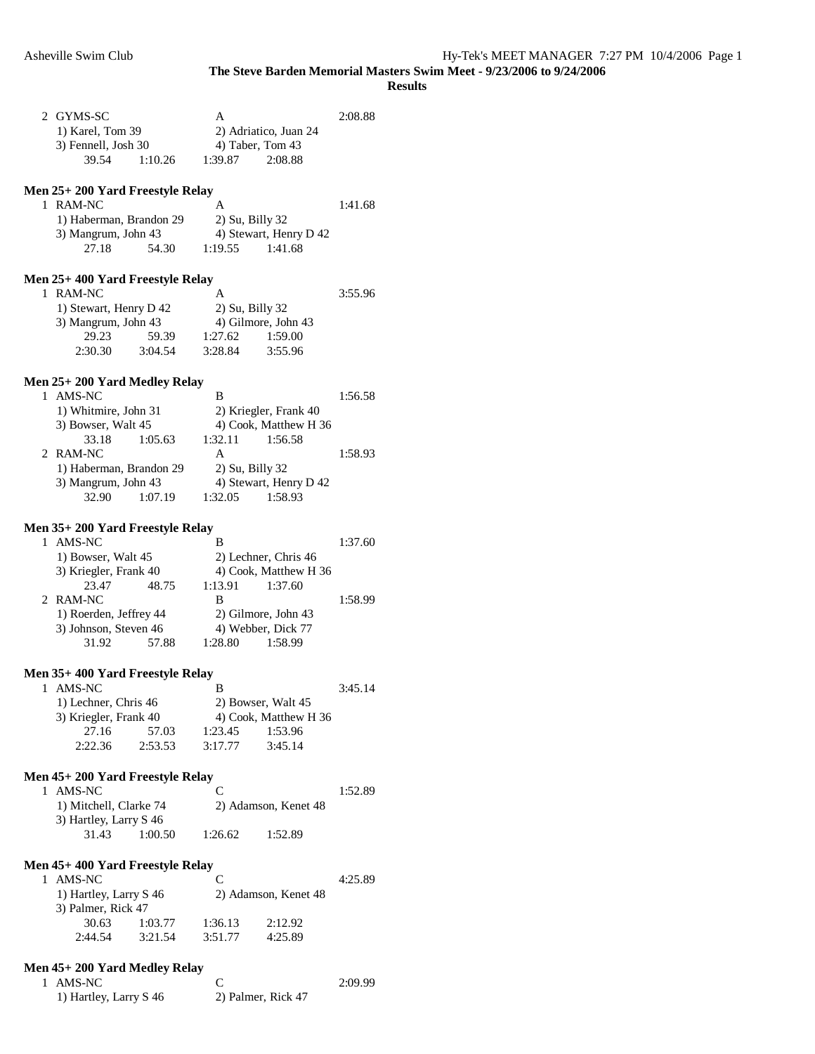|   | 2 GYMS-SC<br>1) Karel, Tom 39<br>3) Fennell, Josh 30<br>39.54<br>1:10.26 | A<br>2) Adriatico, Juan 24<br>4) Taber, Tom 43<br>1:39.87<br>2:08.88 | 2:08.88 |
|---|--------------------------------------------------------------------------|----------------------------------------------------------------------|---------|
|   | Men 25+ 200 Yard Freestyle Relay                                         |                                                                      |         |
|   | 1 RAM-NC                                                                 | A                                                                    | 1:41.68 |
|   | 1) Haberman, Brandon 29                                                  | 2) Su, Billy 32                                                      |         |
|   | 3) Mangrum, John 43<br>27.18<br>54.30                                    | 4) Stewart, Henry D 42<br>1:19.55<br>1:41.68                         |         |
|   |                                                                          |                                                                      |         |
|   | Men 25+ 400 Yard Freestyle Relay                                         |                                                                      |         |
|   | 1 RAM-NC                                                                 | A                                                                    | 3:55.96 |
|   | 1) Stewart, Henry D 42                                                   | 2) Su, Billy 32                                                      |         |
|   | 3) Mangrum, John 43                                                      | 4) Gilmore, John 43                                                  |         |
|   | 29.23<br>59.39                                                           | 1:27.62<br>1:59.00                                                   |         |
|   | 3:04.54<br>2:30.30                                                       | 3:28.84<br>3:55.96                                                   |         |
|   | Men 25+ 200 Yard Medley Relay                                            |                                                                      |         |
|   | 1 AMS-NC                                                                 | B                                                                    | 1:56.58 |
|   | 1) Whitmire, John 31                                                     | 2) Kriegler, Frank 40                                                |         |
|   | 3) Bowser, Walt 45                                                       | 4) Cook, Matthew H 36                                                |         |
|   | 33.18<br>1:05.63                                                         | 1:32.11<br>1:56.58                                                   |         |
|   | 2 RAM-NC                                                                 | A                                                                    | 1:58.93 |
|   | 1) Haberman, Brandon 29                                                  | 2) Su, Billy 32                                                      |         |
|   | 3) Mangrum, John 43                                                      | 4) Stewart, Henry D 42                                               |         |
|   | 32.90<br>1:07.19                                                         | 1:32.05<br>1:58.93                                                   |         |
|   | Men 35+ 200 Yard Freestyle Relay                                         |                                                                      |         |
|   | 1 AMS-NC                                                                 | B                                                                    | 1:37.60 |
|   | 1) Bowser, Walt 45                                                       | 2) Lechner, Chris 46                                                 |         |
|   | 3) Kriegler, Frank 40                                                    | 4) Cook, Matthew H 36                                                |         |
|   | 48.75<br>23.47                                                           | 1:13.91<br>1:37.60                                                   |         |
|   | 2 RAM-NC                                                                 | B                                                                    | 1:58.99 |
|   | 1) Roerden, Jeffrey 44                                                   | 2) Gilmore, John 43                                                  |         |
|   | 3) Johnson, Steven 46<br>57.88<br>31.92                                  | 4) Webber, Dick 77<br>1:28.80<br>1:58.99                             |         |
|   |                                                                          |                                                                      |         |
|   | Men 35+ 400 Yard Freestyle Relay                                         |                                                                      |         |
| 1 | AMS-NC                                                                   | B                                                                    | 3:45.14 |
|   | 1) Lechner, Chris 46                                                     | 2) Bowser, Walt 45                                                   |         |
|   | 3) Kriegler, Frank 40                                                    | 4) Cook, Matthew H 36                                                |         |
|   | 27.16<br>57.03                                                           | 1:23.45<br>1:53.96                                                   |         |
|   | 2:22.36<br>2:53.53                                                       | 3:17.77<br>3:45.14                                                   |         |
|   |                                                                          |                                                                      |         |
|   | Men 45+ 200 Yard Freestyle Relay<br>1 AMS-NC                             | C                                                                    | 1:52.89 |
|   | 1) Mitchell, Clarke 74                                                   | 2) Adamson, Kenet 48                                                 |         |
|   | 3) Hartley, Larry S 46                                                   |                                                                      |         |
|   | 31.43<br>1:00.50                                                         | 1:26.62<br>1:52.89                                                   |         |
|   |                                                                          |                                                                      |         |
|   | Men 45+ 400 Yard Freestyle Relay                                         |                                                                      |         |
|   | 1 AMS-NC                                                                 | C                                                                    | 4:25.89 |
|   | 1) Hartley, Larry S 46                                                   | 2) Adamson, Kenet 48                                                 |         |
|   | 3) Palmer, Rick 47                                                       |                                                                      |         |
|   | 30.63<br>1:03.77<br>2:44.54<br>3:21.54                                   | 1:36.13<br>2:12.92<br>3:51.77<br>4:25.89                             |         |
|   |                                                                          |                                                                      |         |
|   | Men 45+ 200 Yard Medley Relay                                            |                                                                      |         |
|   | 1 AMS-NC                                                                 | C                                                                    | 2:09.99 |
|   | 1) Hartley, Larry S 46                                                   | 2) Palmer, Rick 47                                                   |         |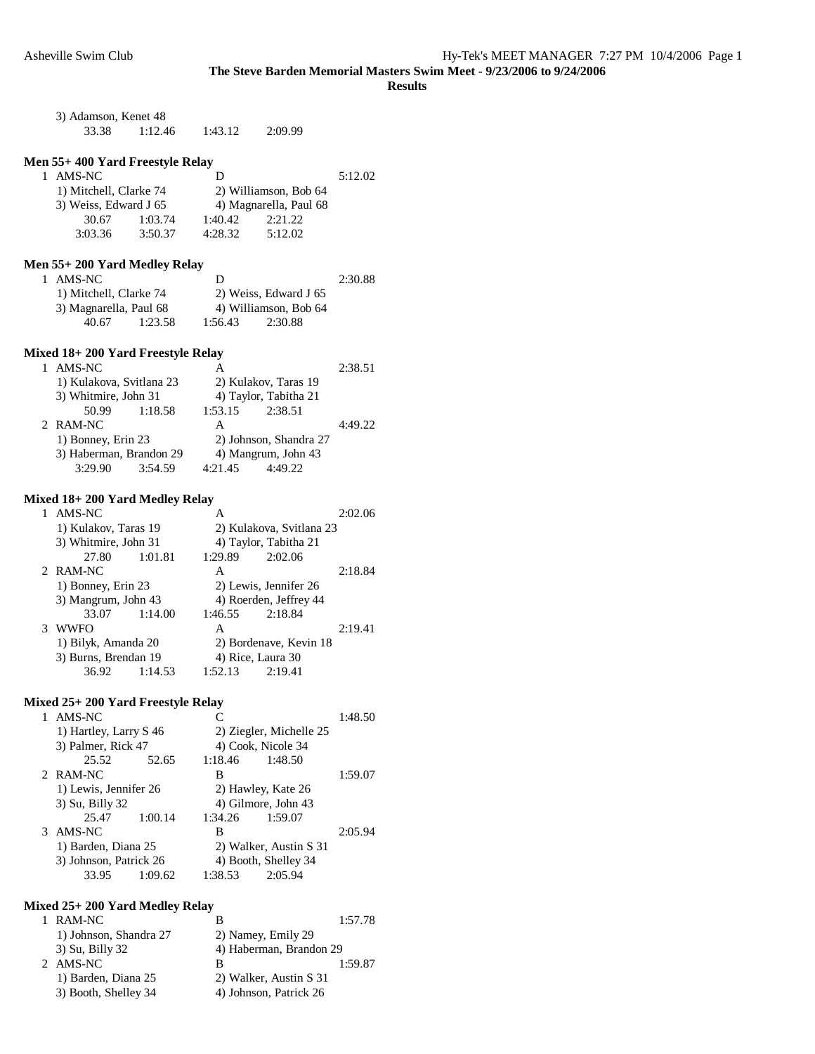**Results** 

| 3) Adamson, Kenet 48 |         |         |         |  |  |
|----------------------|---------|---------|---------|--|--|
| 33.38                | 1:12.46 | 1:43.12 | 2:09.99 |  |  |

### **Men 55+ 400 Yard Freestyle Relay**

| 1 AMS-NC               |         | Ð                     |                        | 5:12.02 |
|------------------------|---------|-----------------------|------------------------|---------|
| 1) Mitchell, Clarke 74 |         | 2) Williamson, Bob 64 |                        |         |
| 3) Weiss, Edward J 65  |         |                       | 4) Magnarella, Paul 68 |         |
| 30.67                  | 1:03.74 | 1:40.42               | 2:21.22                |         |
| 3:03.36                | 3:50.37 | 4:28.32               | 5:12.02                |         |

## **Men 55+ 200 Yard Medley Relay**

| 1 AMS-NC               |         | Ð       |                       | 2:30.88 |
|------------------------|---------|---------|-----------------------|---------|
| 1) Mitchell, Clarke 74 |         |         | 2) Weiss, Edward J 65 |         |
| 3) Magnarella, Paul 68 |         |         | 4) Williamson, Bob 64 |         |
| 40.67                  | 1:23.58 | 1:56.43 | 2:30.88               |         |

## **Mixed 18+ 200 Yard Freestyle Relay**

|  | AMS-NC                                        |         |                        |                     | 2:38.51 |
|--|-----------------------------------------------|---------|------------------------|---------------------|---------|
|  | 1) Kulakova, Svitlana 23                      |         | 2) Kulakov, Taras 19   |                     |         |
|  | 3) Whitmire, John 31                          |         | 4) Taylor, Tabitha 21  |                     |         |
|  | 50.99                                         | 1:18.58 | 1:53.15                | 2:38.51             |         |
|  | 2 RAM-NC                                      |         | А                      |                     | 4:49.22 |
|  | 1) Bonney, Erin 23<br>3) Haberman, Brandon 29 |         | 2) Johnson, Shandra 27 |                     |         |
|  |                                               |         |                        | 4) Mangrum, John 43 |         |
|  | 3:29.90                                       | 3:54.59 | 4:21.45                | 4:49.22             |         |

### **Mixed 18+ 200 Yard Medley Relay**

| AMS-NC               |         | А                      |                          | 2:02.06 |
|----------------------|---------|------------------------|--------------------------|---------|
| 1) Kulakov, Taras 19 |         |                        | 2) Kulakova, Svitlana 23 |         |
| 3) Whitmire, John 31 |         |                        | 4) Taylor, Tabitha 21    |         |
| 27.80                | 1:01.81 | 1:29.89                | 2:02.06                  |         |
| 2 RAM-NC             |         | А                      |                          | 2:18.84 |
| 1) Bonney, Erin 23   |         | 2) Lewis, Jennifer 26  |                          |         |
| 3) Mangrum, John 43  |         |                        | 4) Roerden, Jeffrey 44   |         |
| 33.07                | 1:14.00 | 1:46.55                | 2:18.84                  |         |
| WWFO                 |         | А                      |                          | 2:19.41 |
| 1) Bilyk, Amanda 20  |         | 2) Bordenave, Kevin 18 |                          |         |
| 3) Burns, Brendan 19 |         |                        | 4) Rice, Laura 30        |         |
| 36.92                | 1:14.53 | 1:52.13                | 2:19.41                  |         |

## **Mixed 25+ 200 Yard Freestyle Relay**

|   | AMS-NC                 |         |                        |                         | 1:48.50 |
|---|------------------------|---------|------------------------|-------------------------|---------|
|   | 1) Hartley, Larry S 46 |         |                        | 2) Ziegler, Michelle 25 |         |
|   | 3) Palmer, Rick 47     |         |                        | 4) Cook, Nicole 34      |         |
|   | 25.52                  | 52.65   | 1:18.46                | 1:48.50                 |         |
|   | 2 RAM-NC               |         | В                      |                         | 1:59.07 |
|   | 1) Lewis, Jennifer 26  |         |                        | 2) Hawley, Kate 26      |         |
|   | 3) Su, Billy 32        |         | 4) Gilmore, John 43    |                         |         |
|   | 25.47                  | 1:00.14 | 1:34.26                | 1:59.07                 |         |
| 3 | AMS-NC                 |         | В                      |                         | 2:05.94 |
|   | 1) Barden, Diana 25    |         | 2) Walker, Austin S 31 |                         |         |
|   | 3) Johnson, Patrick 26 |         |                        | 4) Booth, Shelley 34    |         |
|   | 33.95                  | 1:09.62 | 1:38.53                | 2:05.94                 |         |
|   |                        |         |                        |                         |         |

### **Mixed 25+ 200 Yard Medley Relay**

| 1 RAM-NC               |                         | 1:57.78 |  |
|------------------------|-------------------------|---------|--|
| 1) Johnson, Shandra 27 | 2) Namey, Emily 29      |         |  |
| 3) Su, Billy 32        | 4) Haberman, Brandon 29 |         |  |
| 2 AMS-NC               |                         | 1:59.87 |  |
| 1) Barden, Diana 25    | 2) Walker, Austin S 31  |         |  |
| 3) Booth, Shelley 34   | 4) Johnson, Patrick 26  |         |  |